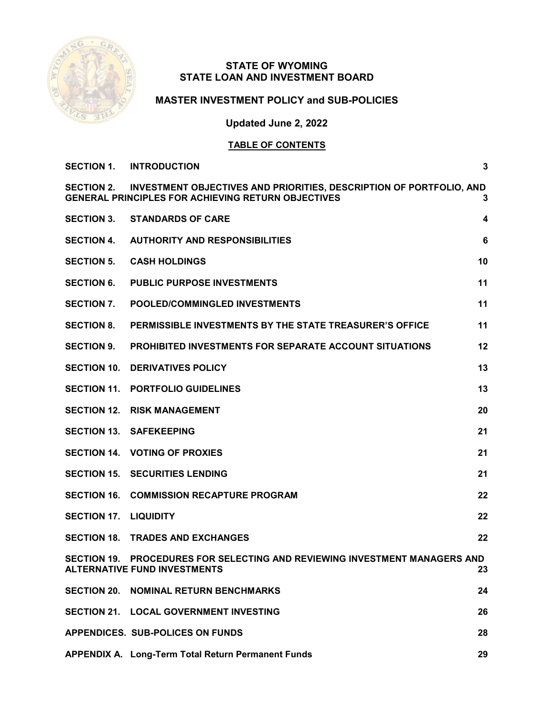

## **STATE OF WYOMING STATE LOAN AND INVESTMENT BOARD**

## **MASTER INVESTMENT POLICY and SUB-POLICIES**

**Updated June 2, 2022**

## **TABLE OF CONTENTS**

| <b>SECTION 1.</b>            | <b>INTRODUCTION</b>                                                                                                              | 3                       |
|------------------------------|----------------------------------------------------------------------------------------------------------------------------------|-------------------------|
| <b>SECTION 2.</b>            | INVESTMENT OBJECTIVES AND PRIORITIES, DESCRIPTION OF PORTFOLIO, AND<br><b>GENERAL PRINCIPLES FOR ACHIEVING RETURN OBJECTIVES</b> | 3                       |
| <b>SECTION 3.</b>            | <b>STANDARDS OF CARE</b>                                                                                                         | $\overline{\mathbf{4}}$ |
| <b>SECTION 4.</b>            | <b>AUTHORITY AND RESPONSIBILITIES</b>                                                                                            | 6                       |
| <b>SECTION 5.</b>            | <b>CASH HOLDINGS</b>                                                                                                             | 10                      |
| <b>SECTION 6.</b>            | <b>PUBLIC PURPOSE INVESTMENTS</b>                                                                                                | 11                      |
| <b>SECTION 7.</b>            | <b>POOLED/COMMINGLED INVESTMENTS</b>                                                                                             | 11                      |
| <b>SECTION 8.</b>            | PERMISSIBLE INVESTMENTS BY THE STATE TREASURER'S OFFICE                                                                          | 11                      |
| <b>SECTION 9.</b>            | <b>PROHIBITED INVESTMENTS FOR SEPARATE ACCOUNT SITUATIONS</b>                                                                    | 12                      |
| <b>SECTION 10.</b>           | <b>DERIVATIVES POLICY</b>                                                                                                        | 13                      |
| <b>SECTION 11.</b>           | <b>PORTFOLIO GUIDELINES</b>                                                                                                      | 13                      |
| <b>SECTION 12.</b>           | <b>RISK MANAGEMENT</b>                                                                                                           | 20                      |
|                              | <b>SECTION 13. SAFEKEEPING</b>                                                                                                   | 21                      |
|                              | SECTION 14. VOTING OF PROXIES                                                                                                    | 21                      |
|                              | <b>SECTION 15. SECURITIES LENDING</b>                                                                                            | 21                      |
| <b>SECTION 16.</b>           | <b>COMMISSION RECAPTURE PROGRAM</b>                                                                                              | 22                      |
| <b>SECTION 17. LIQUIDITY</b> |                                                                                                                                  | 22                      |
| <b>SECTION 18.</b>           | <b>TRADES AND EXCHANGES</b>                                                                                                      | 22                      |
|                              | SECTION 19. PROCEDURES FOR SELECTING AND REVIEWING INVESTMENT MANAGERS AND<br><b>ALTERNATIVE FUND INVESTMENTS</b>                | 23                      |
| <b>SECTION 20.</b>           | <b>NOMINAL RETURN BENCHMARKS</b>                                                                                                 | 24                      |
| <b>SECTION 21.</b>           | <b>LOCAL GOVERNMENT INVESTING</b>                                                                                                | 26                      |
|                              | APPENDICES. SUB-POLICES ON FUNDS                                                                                                 | 28                      |
|                              | APPENDIX A. Long-Term Total Return Permanent Funds                                                                               | 29                      |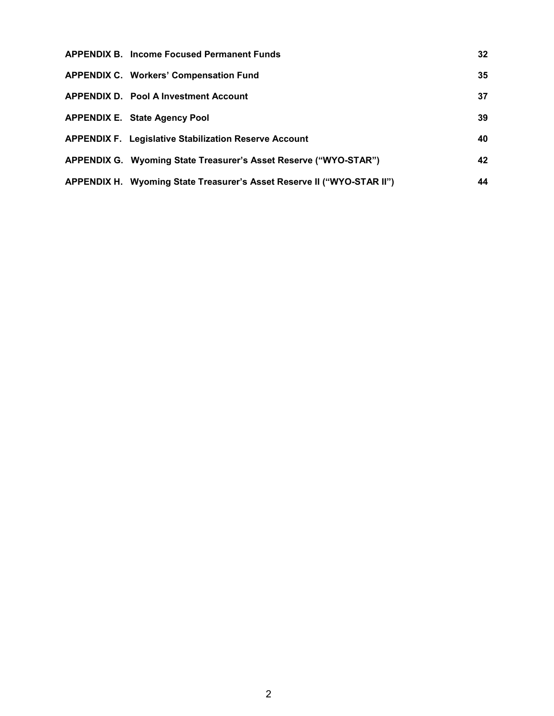| <b>APPENDIX B. Income Focused Permanent Funds</b>                      | 32 |
|------------------------------------------------------------------------|----|
| <b>APPENDIX C. Workers' Compensation Fund</b>                          | 35 |
| <b>APPENDIX D. Pool A Investment Account</b>                           | 37 |
| <b>APPENDIX E. State Agency Pool</b>                                   | 39 |
| <b>APPENDIX F. Legislative Stabilization Reserve Account</b>           | 40 |
| APPENDIX G. Wyoming State Treasurer's Asset Reserve ("WYO-STAR")       | 42 |
| APPENDIX H. Wyoming State Treasurer's Asset Reserve II ("WYO-STAR II") | 44 |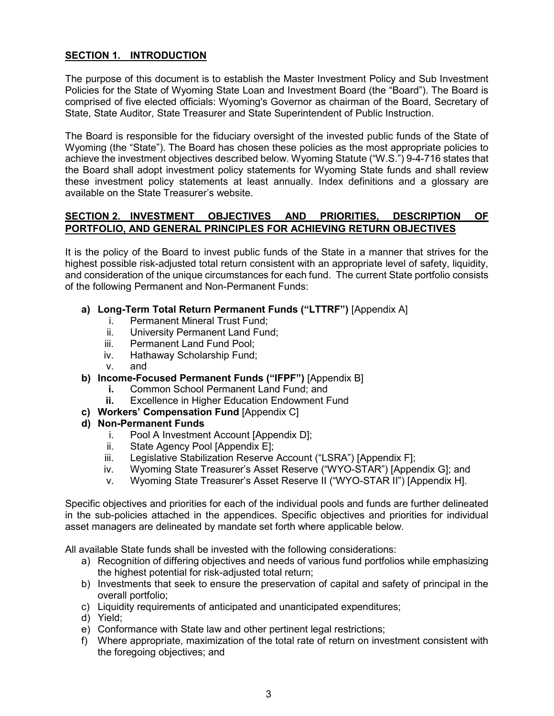## <span id="page-2-0"></span>**SECTION 1. INTRODUCTION**

The purpose of this document is to establish the Master Investment Policy and Sub Investment Policies for the State of Wyoming State Loan and Investment Board (the "Board"). The Board is comprised of five elected officials: Wyoming's Governor as chairman of the Board, Secretary of State, State Auditor, State Treasurer and State Superintendent of Public Instruction.

The Board is responsible for the fiduciary oversight of the invested public funds of the State of Wyoming (the "State"). The Board has chosen these policies as the most appropriate policies to achieve the investment objectives described below. Wyoming Statute ("W.S.") 9-4-716 states that the Board shall adopt investment policy statements for Wyoming State funds and shall review these investment policy statements at least annually. Index definitions and a glossary are available on the State Treasurer's website.

## <span id="page-2-1"></span>**SECTION 2. INVESTMENT OBJECTIVES AND PRIORITIES, DESCRIPTION OF PORTFOLIO, AND GENERAL PRINCIPLES FOR ACHIEVING RETURN OBJECTIVES**

It is the policy of the Board to invest public funds of the State in a manner that strives for the highest possible risk-adjusted total return consistent with an appropriate level of safety, liquidity, and consideration of the unique circumstances for each fund. The current State portfolio consists of the following Permanent and Non-Permanent Funds:

- **a) Long-Term Total Return Permanent Funds ("LTTRF")** [Appendix A]
	- i. Permanent Mineral Trust Fund;
	- ii. University Permanent Land Fund;
	- iii. Permanent Land Fund Pool;
	- iv. Hathaway Scholarship Fund;
	- v. and
- **b) Income-Focused Permanent Funds ("IFPF")** [Appendix B]
	- **i.** Common School Permanent Land Fund; and
	- **ii.** Excellence in Higher Education Endowment Fund
- **c) Workers' Compensation Fund** [Appendix C]
- **d) Non-Permanent Funds**
	- i. Pool A Investment Account [Appendix D];
	- ii. State Agency Pool [Appendix E];
	- iii. Legislative Stabilization Reserve Account ("LSRA") [Appendix F];
	- iv. Wyoming State Treasurer's Asset Reserve ("WYO-STAR") [Appendix G]; and
	- v. Wyoming State Treasurer's Asset Reserve II ("WYO-STAR II") [Appendix H].

Specific objectives and priorities for each of the individual pools and funds are further delineated in the sub-policies attached in the appendices. Specific objectives and priorities for individual asset managers are delineated by mandate set forth where applicable below.

All available State funds shall be invested with the following considerations:

- a) Recognition of differing objectives and needs of various fund portfolios while emphasizing the highest potential for risk-adjusted total return;
- b) Investments that seek to ensure the preservation of capital and safety of principal in the overall portfolio;
- c) Liquidity requirements of anticipated and unanticipated expenditures;
- d) Yield;
- e) Conformance with State law and other pertinent legal restrictions;
- f) Where appropriate, maximization of the total rate of return on investment consistent with the foregoing objectives; and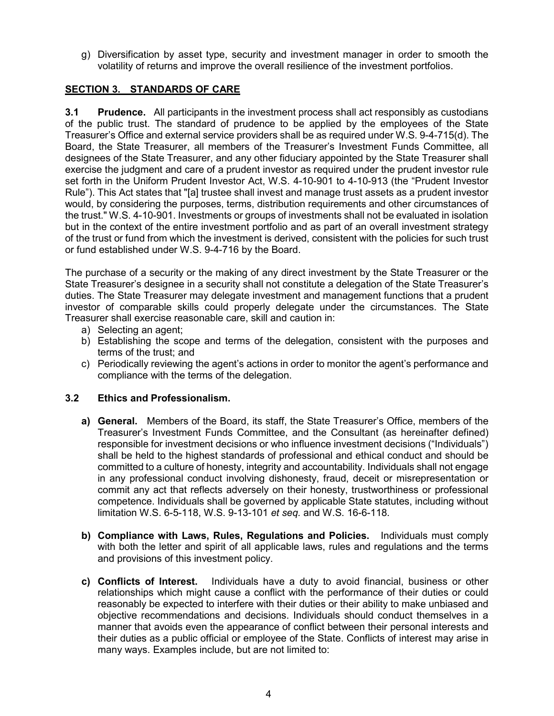g) Diversification by asset type, security and investment manager in order to smooth the volatility of returns and improve the overall resilience of the investment portfolios.

## <span id="page-3-0"></span>**SECTION 3. STANDARDS OF CARE**

**3.1 Prudence.** All participants in the investment process shall act responsibly as custodians of the public trust. The standard of prudence to be applied by the employees of the State Treasurer's Office and external service providers shall be as required under W.S. 9-4-715(d). The Board, the State Treasurer, all members of the Treasurer's Investment Funds Committee, all designees of the State Treasurer, and any other fiduciary appointed by the State Treasurer shall exercise the judgment and care of a prudent investor as required under the prudent investor rule set forth in the Uniform Prudent Investor Act, W.S. 4-10-901 to 4-10-913 (the "Prudent Investor Rule"). This Act states that "[a] trustee shall invest and manage trust assets as a prudent investor would, by considering the purposes, terms, distribution requirements and other circumstances of the trust." W.S. 4-10-901. Investments or groups of investments shall not be evaluated in isolation but in the context of the entire investment portfolio and as part of an overall investment strategy of the trust or fund from which the investment is derived, consistent with the policies for such trust or fund established under W.S. 9-4-716 by the Board.

The purchase of a security or the making of any direct investment by the State Treasurer or the State Treasurer's designee in a security shall not constitute a delegation of the State Treasurer's duties. The State Treasurer may delegate investment and management functions that a prudent investor of comparable skills could properly delegate under the circumstances. The State Treasurer shall exercise reasonable care, skill and caution in:

- a) Selecting an agent;
- b) Establishing the scope and terms of the delegation, consistent with the purposes and terms of the trust; and
- c) Periodically reviewing the agent's actions in order to monitor the agent's performance and compliance with the terms of the delegation.

#### **3.2 Ethics and Professionalism.**

- **a) General.** Members of the Board, its staff, the State Treasurer's Office, members of the Treasurer's Investment Funds Committee, and the Consultant (as hereinafter defined) responsible for investment decisions or who influence investment decisions ("Individuals") shall be held to the highest standards of professional and ethical conduct and should be committed to a culture of honesty, integrity and accountability. Individuals shall not engage in any professional conduct involving dishonesty, fraud, deceit or misrepresentation or commit any act that reflects adversely on their honesty, trustworthiness or professional competence. Individuals shall be governed by applicable State statutes, including without limitation W.S. 6-5-118, W.S. 9-13-101 *et seq.* and W.S. 16-6-118.
- **b) Compliance with Laws, Rules, Regulations and Policies.** Individuals must comply with both the letter and spirit of all applicable laws, rules and regulations and the terms and provisions of this investment policy.
- **c) Conflicts of Interest.** Individuals have a duty to avoid financial, business or other relationships which might cause a conflict with the performance of their duties or could reasonably be expected to interfere with their duties or their ability to make unbiased and objective recommendations and decisions. Individuals should conduct themselves in a manner that avoids even the appearance of conflict between their personal interests and their duties as a public official or employee of the State. Conflicts of interest may arise in many ways. Examples include, but are not limited to: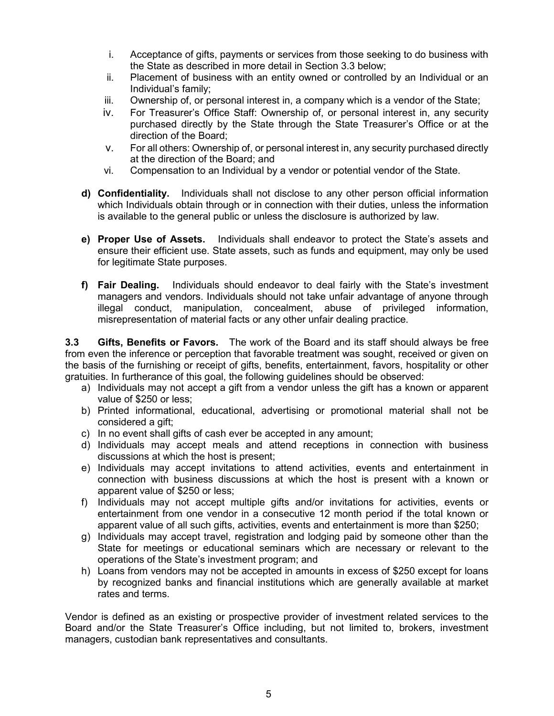- i. Acceptance of gifts, payments or services from those seeking to do business with the State as described in more detail in Section 3.3 below;
- ii. Placement of business with an entity owned or controlled by an Individual or an Individual's family;
- iii. Ownership of, or personal interest in, a company which is a vendor of the State;
- iv. For Treasurer's Office Staff: Ownership of, or personal interest in, any security purchased directly by the State through the State Treasurer's Office or at the direction of the Board;
- v. For all others: Ownership of, or personal interest in, any security purchased directly at the direction of the Board; and
- vi. Compensation to an Individual by a vendor or potential vendor of the State.
- **d) Confidentiality.** Individuals shall not disclose to any other person official information which Individuals obtain through or in connection with their duties, unless the information is available to the general public or unless the disclosure is authorized by law.
- **e) Proper Use of Assets.** Individuals shall endeavor to protect the State's assets and ensure their efficient use. State assets, such as funds and equipment, may only be used for legitimate State purposes.
- **f) Fair Dealing.** Individuals should endeavor to deal fairly with the State's investment managers and vendors. Individuals should not take unfair advantage of anyone through illegal conduct, manipulation, concealment, abuse of privileged information, misrepresentation of material facts or any other unfair dealing practice.

**3.3 Gifts, Benefits or Favors.** The work of the Board and its staff should always be free from even the inference or perception that favorable treatment was sought, received or given on the basis of the furnishing or receipt of gifts, benefits, entertainment, favors, hospitality or other gratuities. In furtherance of this goal, the following guidelines should be observed:

- a) Individuals may not accept a gift from a vendor unless the gift has a known or apparent value of \$250 or less;
- b) Printed informational, educational, advertising or promotional material shall not be considered a gift;
- c) In no event shall gifts of cash ever be accepted in any amount;
- d) Individuals may accept meals and attend receptions in connection with business discussions at which the host is present;
- e) Individuals may accept invitations to attend activities, events and entertainment in connection with business discussions at which the host is present with a known or apparent value of \$250 or less;
- f) Individuals may not accept multiple gifts and/or invitations for activities, events or entertainment from one vendor in a consecutive 12 month period if the total known or apparent value of all such gifts, activities, events and entertainment is more than \$250;
- g) Individuals may accept travel, registration and lodging paid by someone other than the State for meetings or educational seminars which are necessary or relevant to the operations of the State's investment program; and
- h) Loans from vendors may not be accepted in amounts in excess of \$250 except for loans by recognized banks and financial institutions which are generally available at market rates and terms.

Vendor is defined as an existing or prospective provider of investment related services to the Board and/or the State Treasurer's Office including, but not limited to, brokers, investment managers, custodian bank representatives and consultants.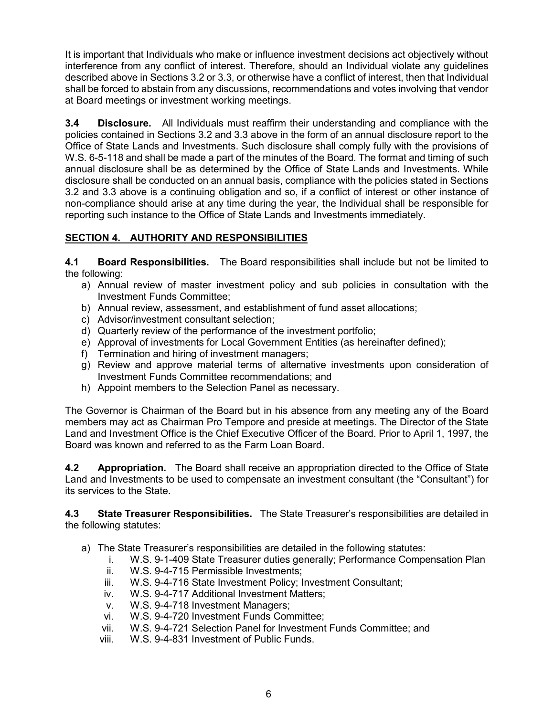It is important that Individuals who make or influence investment decisions act objectively without interference from any conflict of interest. Therefore, should an Individual violate any guidelines described above in Sections 3.2 or 3.3, or otherwise have a conflict of interest, then that Individual shall be forced to abstain from any discussions, recommendations and votes involving that vendor at Board meetings or investment working meetings.

**3.4 Disclosure.** All Individuals must reaffirm their understanding and compliance with the policies contained in Sections 3.2 and 3.3 above in the form of an annual disclosure report to the Office of State Lands and Investments. Such disclosure shall comply fully with the provisions of W.S. 6-5-118 and shall be made a part of the minutes of the Board. The format and timing of such annual disclosure shall be as determined by the Office of State Lands and Investments. While disclosure shall be conducted on an annual basis, compliance with the policies stated in Sections 3.2 and 3.3 above is a continuing obligation and so, if a conflict of interest or other instance of non-compliance should arise at any time during the year, the Individual shall be responsible for reporting such instance to the Office of State Lands and Investments immediately.

## <span id="page-5-0"></span>**SECTION 4. AUTHORITY AND RESPONSIBILITIES**

**4.1 Board Responsibilities.** The Board responsibilities shall include but not be limited to the following:

- a) Annual review of master investment policy and sub policies in consultation with the Investment Funds Committee;
- b) Annual review, assessment, and establishment of fund asset allocations;
- c) Advisor/investment consultant selection;
- d) Quarterly review of the performance of the investment portfolio;
- e) Approval of investments for Local Government Entities (as hereinafter defined);
- f) Termination and hiring of investment managers;
- g) Review and approve material terms of alternative investments upon consideration of Investment Funds Committee recommendations; and
- h) Appoint members to the Selection Panel as necessary.

The Governor is Chairman of the Board but in his absence from any meeting any of the Board members may act as Chairman Pro Tempore and preside at meetings. The Director of the State Land and Investment Office is the Chief Executive Officer of the Board. Prior to April 1, 1997, the Board was known and referred to as the Farm Loan Board.

**4.2 Appropriation.** The Board shall receive an appropriation directed to the Office of State Land and Investments to be used to compensate an investment consultant (the "Consultant") for its services to the State.

**4.3 State Treasurer Responsibilities.** The State Treasurer's responsibilities are detailed in the following statutes:

- a) The State Treasurer's responsibilities are detailed in the following statutes:
	- i. W.S. 9-1-409 State Treasurer duties generally; Performance Compensation Plan
	- ii. W.S. 9-4-715 Permissible Investments;
	- iii. W.S. 9-4-716 State Investment Policy; Investment Consultant;
	- iv. W.S. 9-4-717 Additional Investment Matters;
	- v. W.S. 9-4-718 Investment Managers;
	- vi. W.S. 9-4-720 Investment Funds Committee;
	- vii. W.S. 9-4-721 Selection Panel for Investment Funds Committee; and
	- viii. W.S. 9-4-831 Investment of Public Funds.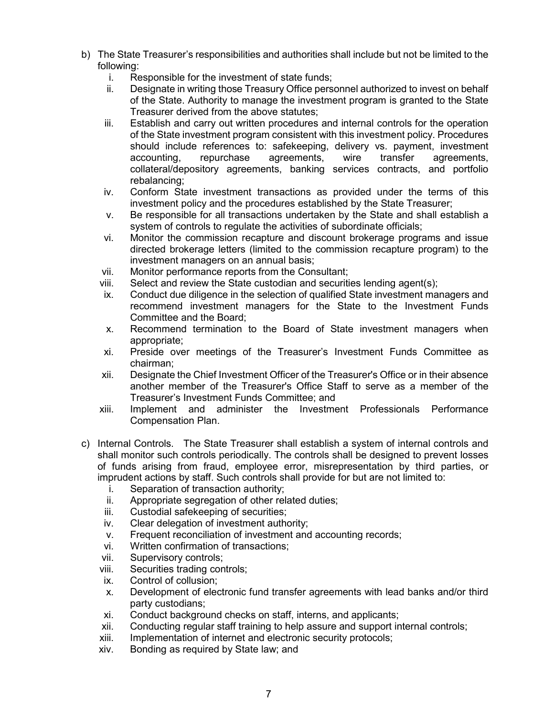- b) The State Treasurer's responsibilities and authorities shall include but not be limited to the following:
	- i. Responsible for the investment of state funds;
	- Designate in writing those Treasury Office personnel authorized to invest on behalf of the State. Authority to manage the investment program is granted to the State Treasurer derived from the above statutes;
	- iii. Establish and carry out written procedures and internal controls for the operation of the State investment program consistent with this investment policy. Procedures should include references to: safekeeping, delivery vs. payment, investment accounting. repurchase agreements, wire transfer agreements, repurchase agreements, wire transfer agreements, collateral/depository agreements, banking services contracts, and portfolio rebalancing;
	- iv. Conform State investment transactions as provided under the terms of this investment policy and the procedures established by the State Treasurer;
	- v. Be responsible for all transactions undertaken by the State and shall establish a system of controls to regulate the activities of subordinate officials;
	- vi. Monitor the commission recapture and discount brokerage programs and issue directed brokerage letters (limited to the commission recapture program) to the investment managers on an annual basis;
	- vii. Monitor performance reports from the Consultant;
	- viii. Select and review the State custodian and securities lending agent(s);
	- ix. Conduct due diligence in the selection of qualified State investment managers and recommend investment managers for the State to the Investment Funds Committee and the Board;
	- x. Recommend termination to the Board of State investment managers when appropriate;
	- xi. Preside over meetings of the Treasurer's Investment Funds Committee as chairman;
	- xii. Designate the Chief Investment Officer of the Treasurer's Office or in their absence another member of the Treasurer's Office Staff to serve as a member of the Treasurer's Investment Funds Committee; and
	- xiii. Implement and administer the Investment Professionals Performance Compensation Plan.
- c) Internal Controls. The State Treasurer shall establish a system of internal controls and shall monitor such controls periodically. The controls shall be designed to prevent losses of funds arising from fraud, employee error, misrepresentation by third parties, or imprudent actions by staff. Such controls shall provide for but are not limited to:
	- i. Separation of transaction authority;
	- ii. Appropriate segregation of other related duties;
	- iii. Custodial safekeeping of securities;
	- iv. Clear delegation of investment authority;
	- v. Frequent reconciliation of investment and accounting records;
	- vi. Written confirmation of transactions;
	- vii. Supervisory controls;
	- viii. Securities trading controls;
	- ix. Control of collusion;
	- x. Development of electronic fund transfer agreements with lead banks and/or third party custodians;
	- xi. Conduct background checks on staff, interns, and applicants;
	- xii. Conducting regular staff training to help assure and support internal controls;
	- xiii. Implementation of internet and electronic security protocols;
	- xiv. Bonding as required by State law; and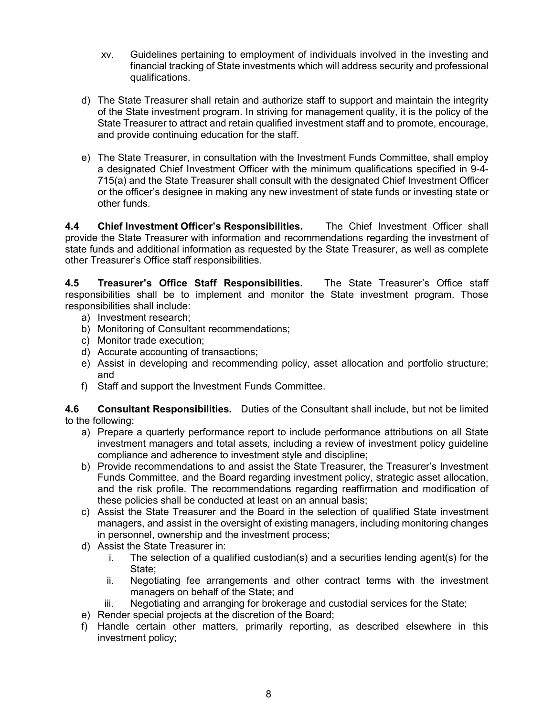- xv. Guidelines pertaining to employment of individuals involved in the investing and financial tracking of State investments which will address security and professional qualifications.
- d) The State Treasurer shall retain and authorize staff to support and maintain the integrity of the State investment program. In striving for management quality, it is the policy of the State Treasurer to attract and retain qualified investment staff and to promote, encourage, and provide continuing education for the staff.
- e) The State Treasurer, in consultation with the Investment Funds Committee, shall employ a designated Chief Investment Officer with the minimum qualifications specified in 9-4- 715(a) and the State Treasurer shall consult with the designated Chief Investment Officer or the officer's designee in making any new investment of state funds or investing state or other funds.

**4.4 Chief Investment Officer's Responsibilities.** The Chief Investment Officer shall provide the State Treasurer with information and recommendations regarding the investment of state funds and additional information as requested by the State Treasurer, as well as complete other Treasurer's Office staff responsibilities.

**4.5 Treasurer's Office Staff Responsibilities.** The State Treasurer's Office staff responsibilities shall be to implement and monitor the State investment program. Those responsibilities shall include:

- a) Investment research;
- b) Monitoring of Consultant recommendations;
- c) Monitor trade execution;
- d) Accurate accounting of transactions;
- e) Assist in developing and recommending policy, asset allocation and portfolio structure; and
- f) Staff and support the Investment Funds Committee.

**4.6 Consultant Responsibilities.** Duties of the Consultant shall include, but not be limited to the following:

- a) Prepare a quarterly performance report to include performance attributions on all State investment managers and total assets, including a review of investment policy guideline compliance and adherence to investment style and discipline;
- b) Provide recommendations to and assist the State Treasurer, the Treasurer's Investment Funds Committee, and the Board regarding investment policy, strategic asset allocation, and the risk profile. The recommendations regarding reaffirmation and modification of these policies shall be conducted at least on an annual basis;
- c) Assist the State Treasurer and the Board in the selection of qualified State investment managers, and assist in the oversight of existing managers, including monitoring changes in personnel, ownership and the investment process;
- d) Assist the State Treasurer in:
	- i. The selection of a qualified custodian(s) and a securities lending agent(s) for the State;
	- ii. Negotiating fee arrangements and other contract terms with the investment managers on behalf of the State; and
	- iii. Negotiating and arranging for brokerage and custodial services for the State;
- e) Render special projects at the discretion of the Board;
- f) Handle certain other matters, primarily reporting, as described elsewhere in this investment policy;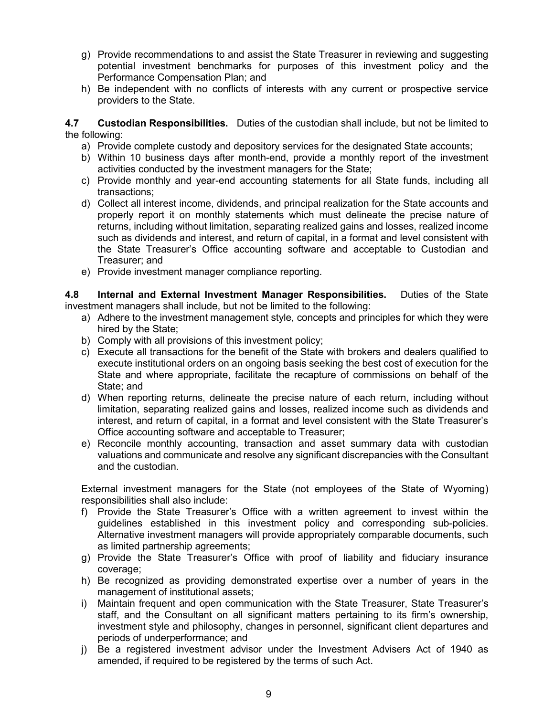- g) Provide recommendations to and assist the State Treasurer in reviewing and suggesting potential investment benchmarks for purposes of this investment policy and the Performance Compensation Plan; and
- h) Be independent with no conflicts of interests with any current or prospective service providers to the State.

**4.7 Custodian Responsibilities.** Duties of the custodian shall include, but not be limited to the following:

- a) Provide complete custody and depository services for the designated State accounts;
- b) Within 10 business days after month-end, provide a monthly report of the investment activities conducted by the investment managers for the State;
- c) Provide monthly and year-end accounting statements for all State funds, including all transactions;
- d) Collect all interest income, dividends, and principal realization for the State accounts and properly report it on monthly statements which must delineate the precise nature of returns, including without limitation, separating realized gains and losses, realized income such as dividends and interest, and return of capital, in a format and level consistent with the State Treasurer's Office accounting software and acceptable to Custodian and Treasurer; and
- e) Provide investment manager compliance reporting.

**4.8 Internal and External Investment Manager Responsibilities.** Duties of the State investment managers shall include, but not be limited to the following:

- a) Adhere to the investment management style, concepts and principles for which they were hired by the State;
- b) Comply with all provisions of this investment policy;
- c) Execute all transactions for the benefit of the State with brokers and dealers qualified to execute institutional orders on an ongoing basis seeking the best cost of execution for the State and where appropriate, facilitate the recapture of commissions on behalf of the State; and
- d) When reporting returns, delineate the precise nature of each return, including without limitation, separating realized gains and losses, realized income such as dividends and interest, and return of capital, in a format and level consistent with the State Treasurer's Office accounting software and acceptable to Treasurer;
- e) Reconcile monthly accounting, transaction and asset summary data with custodian valuations and communicate and resolve any significant discrepancies with the Consultant and the custodian.

External investment managers for the State (not employees of the State of Wyoming) responsibilities shall also include:

- f) Provide the State Treasurer's Office with a written agreement to invest within the guidelines established in this investment policy and corresponding sub-policies. Alternative investment managers will provide appropriately comparable documents, such as limited partnership agreements;
- g) Provide the State Treasurer's Office with proof of liability and fiduciary insurance coverage;
- h) Be recognized as providing demonstrated expertise over a number of years in the management of institutional assets;
- i) Maintain frequent and open communication with the State Treasurer, State Treasurer's staff, and the Consultant on all significant matters pertaining to its firm's ownership, investment style and philosophy, changes in personnel, significant client departures and periods of underperformance; and
- j) Be a registered investment advisor under the Investment Advisers Act of 1940 as amended, if required to be registered by the terms of such Act.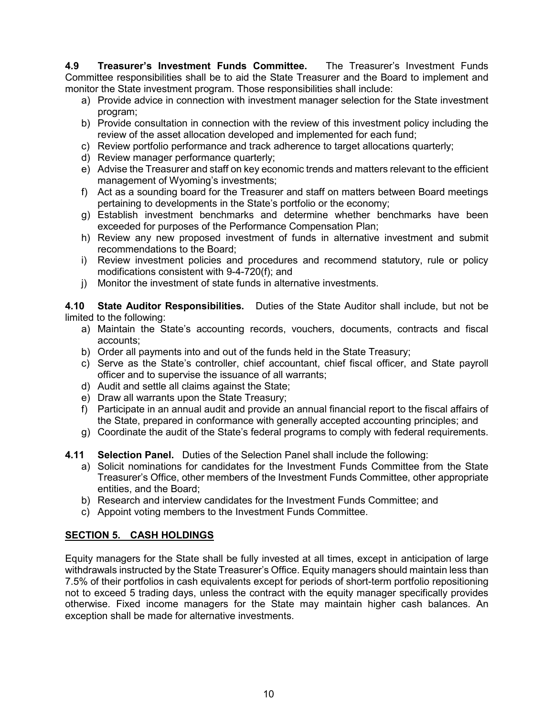**4.9 Treasurer's Investment Funds Committee.** The Treasurer's Investment Funds Committee responsibilities shall be to aid the State Treasurer and the Board to implement and monitor the State investment program. Those responsibilities shall include:

- a) Provide advice in connection with investment manager selection for the State investment program;
- b) Provide consultation in connection with the review of this investment policy including the review of the asset allocation developed and implemented for each fund;
- c) Review portfolio performance and track adherence to target allocations quarterly;
- d) Review manager performance quarterly;
- e) Advise the Treasurer and staff on key economic trends and matters relevant to the efficient management of Wyoming's investments;
- f) Act as a sounding board for the Treasurer and staff on matters between Board meetings pertaining to developments in the State's portfolio or the economy;
- g) Establish investment benchmarks and determine whether benchmarks have been exceeded for purposes of the Performance Compensation Plan;
- h) Review any new proposed investment of funds in alternative investment and submit recommendations to the Board;
- i) Review investment policies and procedures and recommend statutory, rule or policy modifications consistent with 9-4-720(f); and
- j) Monitor the investment of state funds in alternative investments.

**4.10 State Auditor Responsibilities.** Duties of the State Auditor shall include, but not be limited to the following:

- a) Maintain the State's accounting records, vouchers, documents, contracts and fiscal accounts;
- b) Order all payments into and out of the funds held in the State Treasury;
- c) Serve as the State's controller, chief accountant, chief fiscal officer, and State payroll officer and to supervise the issuance of all warrants;
- d) Audit and settle all claims against the State;
- e) Draw all warrants upon the State Treasury;
- f) Participate in an annual audit and provide an annual financial report to the fiscal affairs of the State, prepared in conformance with generally accepted accounting principles; and
- g) Coordinate the audit of the State's federal programs to comply with federal requirements.
- **4.11 Selection Panel.** Duties of the Selection Panel shall include the following:
	- a) Solicit nominations for candidates for the Investment Funds Committee from the State Treasurer's Office, other members of the Investment Funds Committee, other appropriate entities, and the Board;
	- b) Research and interview candidates for the Investment Funds Committee; and
	- c) Appoint voting members to the Investment Funds Committee.

#### <span id="page-9-0"></span>**SECTION 5. CASH HOLDINGS**

Equity managers for the State shall be fully invested at all times, except in anticipation of large withdrawals instructed by the State Treasurer's Office. Equity managers should maintain less than 7.5% of their portfolios in cash equivalents except for periods of short-term portfolio repositioning not to exceed 5 trading days, unless the contract with the equity manager specifically provides otherwise. Fixed income managers for the State may maintain higher cash balances. An exception shall be made for alternative investments.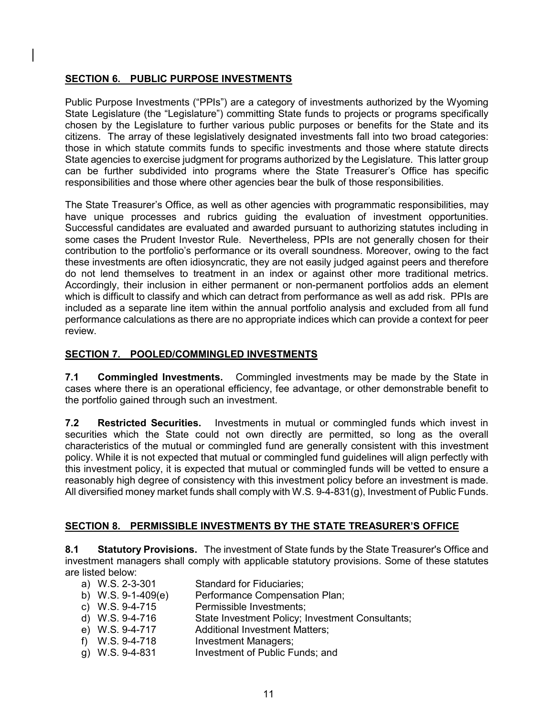## <span id="page-10-0"></span>**SECTION 6. PUBLIC PURPOSE INVESTMENTS**

Public Purpose Investments ("PPIs") are a category of investments authorized by the Wyoming State Legislature (the "Legislature") committing State funds to projects or programs specifically chosen by the Legislature to further various public purposes or benefits for the State and its citizens. The array of these legislatively designated investments fall into two broad categories: those in which statute commits funds to specific investments and those where statute directs State agencies to exercise judgment for programs authorized by the Legislature. This latter group can be further subdivided into programs where the State Treasurer's Office has specific responsibilities and those where other agencies bear the bulk of those responsibilities.

The State Treasurer's Office, as well as other agencies with programmatic responsibilities, may have unique processes and rubrics guiding the evaluation of investment opportunities. Successful candidates are evaluated and awarded pursuant to authorizing statutes including in some cases the Prudent Investor Rule. Nevertheless, PPIs are not generally chosen for their contribution to the portfolio's performance or its overall soundness. Moreover, owing to the fact these investments are often idiosyncratic, they are not easily judged against peers and therefore do not lend themselves to treatment in an index or against other more traditional metrics. Accordingly, their inclusion in either permanent or non-permanent portfolios adds an element which is difficult to classify and which can detract from performance as well as add risk. PPIs are included as a separate line item within the annual portfolio analysis and excluded from all fund performance calculations as there are no appropriate indices which can provide a context for peer review.

#### <span id="page-10-1"></span>**SECTION 7. POOLED/COMMINGLED INVESTMENTS**

**7.1 Commingled Investments.** Commingled investments may be made by the State in cases where there is an operational efficiency, fee advantage, or other demonstrable benefit to the portfolio gained through such an investment.

**7.2 Restricted Securities.** Investments in mutual or commingled funds which invest in securities which the State could not own directly are permitted, so long as the overall characteristics of the mutual or commingled fund are generally consistent with this investment policy. While it is not expected that mutual or commingled fund guidelines will align perfectly with this investment policy, it is expected that mutual or commingled funds will be vetted to ensure a reasonably high degree of consistency with this investment policy before an investment is made. All diversified money market funds shall comply with W.S. 9-4-831(g), Investment of Public Funds.

## <span id="page-10-2"></span>**SECTION 8. PERMISSIBLE INVESTMENTS BY THE STATE TREASURER'S OFFICE**

**8.1 Statutory Provisions.** The investment of State funds by the State Treasurer's Office and investment managers shall comply with applicable statutory provisions. Some of these statutes are listed below:<br>a) W.S. 2-3-301

Standard for Fiduciaries: b) W.S. 9-1-409(e) Performance Compensation Plan; c) W.S. 9-4-715 Permissible Investments; d) W.S. 9-4-716 State Investment Policy; Investment Consultants;<br>e) W.S. 9-4-717 Additional Investment Matters; Additional Investment Matters; f) W.S. 9-4-718 Investment Managers;<br>g) W.S. 9-4-831 Investment of Public Fo Investment of Public Funds; and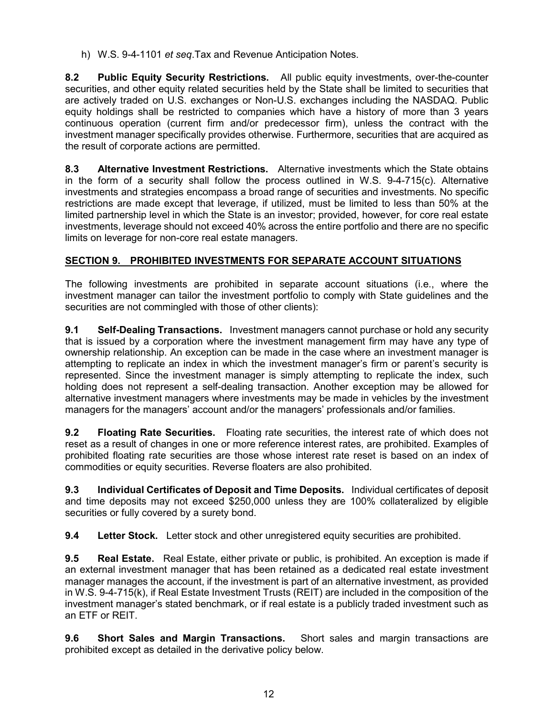h) W.S. 9-4-1101 *et seq*.Tax and Revenue Anticipation Notes.

**8.2 Public Equity Security Restrictions.** All public equity investments, over-the-counter securities, and other equity related securities held by the State shall be limited to securities that are actively traded on U.S. exchanges or Non-U.S. exchanges including the NASDAQ. Public equity holdings shall be restricted to companies which have a history of more than 3 years continuous operation (current firm and/or predecessor firm), unless the contract with the investment manager specifically provides otherwise. Furthermore, securities that are acquired as the result of corporate actions are permitted.

**8.3 Alternative Investment Restrictions.** Alternative investments which the State obtains in the form of a security shall follow the process outlined in W.S. 9-4-715(c). Alternative investments and strategies encompass a broad range of securities and investments. No specific restrictions are made except that leverage, if utilized, must be limited to less than 50% at the limited partnership level in which the State is an investor; provided, however, for core real estate investments, leverage should not exceed 40% across the entire portfolio and there are no specific limits on leverage for non-core real estate managers.

## <span id="page-11-0"></span>**SECTION 9. PROHIBITED INVESTMENTS FOR SEPARATE ACCOUNT SITUATIONS**

The following investments are prohibited in separate account situations (i.e., where the investment manager can tailor the investment portfolio to comply with State guidelines and the securities are not commingled with those of other clients):

**9.1 Self-Dealing Transactions.** Investment managers cannot purchase or hold any security that is issued by a corporation where the investment management firm may have any type of ownership relationship. An exception can be made in the case where an investment manager is attempting to replicate an index in which the investment manager's firm or parent's security is represented. Since the investment manager is simply attempting to replicate the index, such holding does not represent a self-dealing transaction. Another exception may be allowed for alternative investment managers where investments may be made in vehicles by the investment managers for the managers' account and/or the managers' professionals and/or families.

**9.2 Floating Rate Securities.** Floating rate securities, the interest rate of which does not reset as a result of changes in one or more reference interest rates, are prohibited. Examples of prohibited floating rate securities are those whose interest rate reset is based on an index of commodities or equity securities. Reverse floaters are also prohibited.

**9.3 Individual Certificates of Deposit and Time Deposits.** Individual certificates of deposit and time deposits may not exceed \$250,000 unless they are 100% collateralized by eligible securities or fully covered by a surety bond.

**9.4 Letter Stock.** Letter stock and other unregistered equity securities are prohibited.

**9.5 Real Estate.** Real Estate, either private or public, is prohibited. An exception is made if an external investment manager that has been retained as a dedicated real estate investment manager manages the account, if the investment is part of an alternative investment, as provided in W.S. 9-4-715(k), if Real Estate Investment Trusts (REIT) are included in the composition of the investment manager's stated benchmark, or if real estate is a publicly traded investment such as an ETF or REIT.

**9.6 Short Sales and Margin Transactions.** Short sales and margin transactions are prohibited except as detailed in the derivative policy below.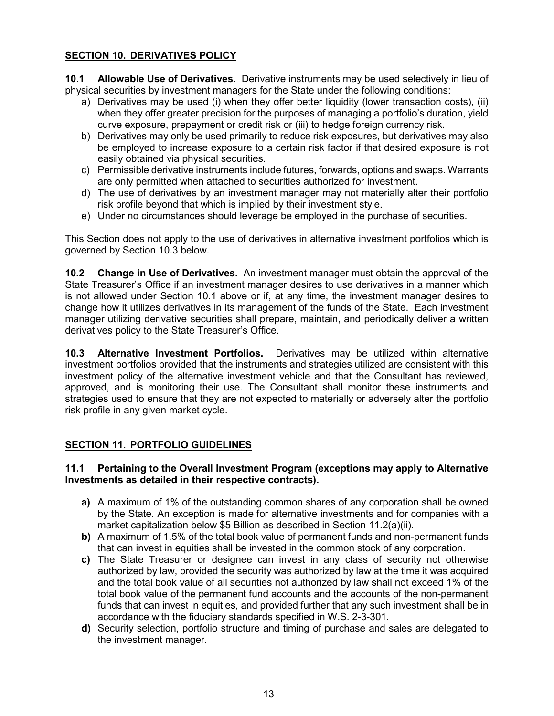## <span id="page-12-0"></span>**SECTION 10. DERIVATIVES POLICY**

**10.1 Allowable Use of Derivatives.** Derivative instruments may be used selectively in lieu of physical securities by investment managers for the State under the following conditions:

- a) Derivatives may be used (i) when they offer better liquidity (lower transaction costs), (ii) when they offer greater precision for the purposes of managing a portfolio's duration, yield curve exposure, prepayment or credit risk or (iii) to hedge foreign currency risk.
- b) Derivatives may only be used primarily to reduce risk exposures, but derivatives may also be employed to increase exposure to a certain risk factor if that desired exposure is not easily obtained via physical securities.
- c) Permissible derivative instruments include futures, forwards, options and swaps. Warrants are only permitted when attached to securities authorized for investment.
- d) The use of derivatives by an investment manager may not materially alter their portfolio risk profile beyond that which is implied by their investment style.
- e) Under no circumstances should leverage be employed in the purchase of securities.

This Section does not apply to the use of derivatives in alternative investment portfolios which is governed by Section 10.3 below.

**10.2 Change in Use of Derivatives.** An investment manager must obtain the approval of the State Treasurer's Office if an investment manager desires to use derivatives in a manner which is not allowed under Section 10.1 above or if, at any time, the investment manager desires to change how it utilizes derivatives in its management of the funds of the State. Each investment manager utilizing derivative securities shall prepare, maintain, and periodically deliver a written derivatives policy to the State Treasurer's Office.

**10.3 Alternative Investment Portfolios.** Derivatives may be utilized within alternative investment portfolios provided that the instruments and strategies utilized are consistent with this investment policy of the alternative investment vehicle and that the Consultant has reviewed, approved, and is monitoring their use. The Consultant shall monitor these instruments and strategies used to ensure that they are not expected to materially or adversely alter the portfolio risk profile in any given market cycle.

## <span id="page-12-1"></span>**SECTION 11. PORTFOLIO GUIDELINES**

#### **11.1 Pertaining to the Overall Investment Program (exceptions may apply to Alternative Investments as detailed in their respective contracts).**

- **a)** A maximum of 1% of the outstanding common shares of any corporation shall be owned by the State. An exception is made for alternative investments and for companies with a market capitalization below \$5 Billion as described in Section 11.2(a)(ii).
- **b)** A maximum of 1.5% of the total book value of permanent funds and non-permanent funds that can invest in equities shall be invested in the common stock of any corporation.
- **c)** The State Treasurer or designee can invest in any class of security not otherwise authorized by law, provided the security was authorized by law at the time it was acquired and the total book value of all securities not authorized by law shall not exceed 1% of the total book value of the permanent fund accounts and the accounts of the non-permanent funds that can invest in equities, and provided further that any such investment shall be in accordance with the fiduciary standards specified in W.S. 2-3-301.
- **d)** Security selection, portfolio structure and timing of purchase and sales are delegated to the investment manager.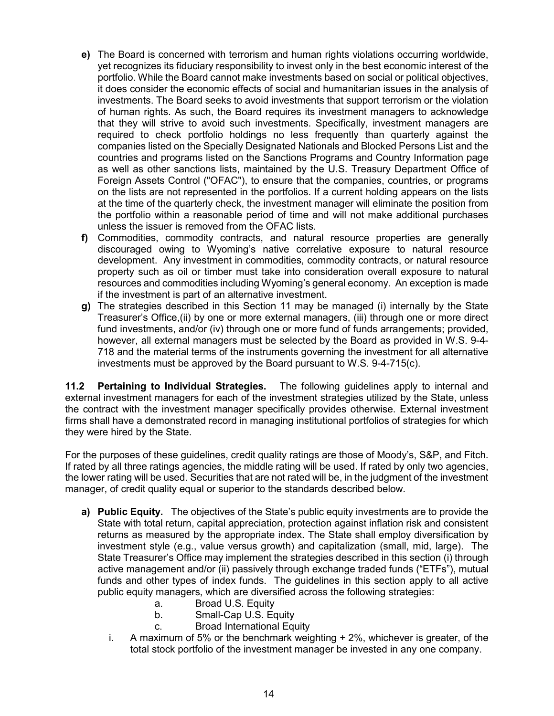- **e)** The Board is concerned with terrorism and human rights violations occurring worldwide, yet recognizes its fiduciary responsibility to invest only in the best economic interest of the portfolio. While the Board cannot make investments based on social or political objectives, it does consider the economic effects of social and humanitarian issues in the analysis of investments. The Board seeks to avoid investments that support terrorism or the violation of human rights. As such, the Board requires its investment managers to acknowledge that they will strive to avoid such investments. Specifically, investment managers are required to check portfolio holdings no less frequently than quarterly against the companies listed on the Specially Designated Nationals and Blocked Persons List and the countries and programs listed on the Sanctions Programs and Country Information page as well as other sanctions lists, maintained by the U.S. Treasury Department Office of Foreign Assets Control ("OFAC"), to ensure that the companies, countries, or programs on the lists are not represented in the portfolios. If a current holding appears on the lists at the time of the quarterly check, the investment manager will eliminate the position from the portfolio within a reasonable period of time and will not make additional purchases unless the issuer is removed from the OFAC lists.
- **f)** Commodities, commodity contracts, and natural resource properties are generally discouraged owing to Wyoming's native correlative exposure to natural resource development. Any investment in commodities, commodity contracts, or natural resource property such as oil or timber must take into consideration overall exposure to natural resources and commodities including Wyoming's general economy. An exception is made if the investment is part of an alternative investment.
- **g)** The strategies described in this Section 11 may be managed (i) internally by the State Treasurer's Office,(ii) by one or more external managers, (iii) through one or more direct fund investments, and/or (iv) through one or more fund of funds arrangements; provided, however, all external managers must be selected by the Board as provided in W.S. 9-4- 718 and the material terms of the instruments governing the investment for all alternative investments must be approved by the Board pursuant to W.S. 9-4-715(c).

**11.2 Pertaining to Individual Strategies.** The following guidelines apply to internal and external investment managers for each of the investment strategies utilized by the State, unless the contract with the investment manager specifically provides otherwise. External investment firms shall have a demonstrated record in managing institutional portfolios of strategies for which they were hired by the State.

For the purposes of these guidelines, credit quality ratings are those of Moody's, S&P, and Fitch. If rated by all three ratings agencies, the middle rating will be used. If rated by only two agencies, the lower rating will be used. Securities that are not rated will be, in the judgment of the investment manager, of credit quality equal or superior to the standards described below.

- **a) Public Equity.** The objectives of the State's public equity investments are to provide the State with total return, capital appreciation, protection against inflation risk and consistent returns as measured by the appropriate index. The State shall employ diversification by investment style (e.g., value versus growth) and capitalization (small, mid, large). The State Treasurer's Office may implement the strategies described in this section (i) through active management and/or (ii) passively through exchange traded funds ("ETFs"), mutual funds and other types of index funds. The guidelines in this section apply to all active public equity managers, which are diversified across the following strategies:
	- a. Broad U.S. Equity
	- b. Small-Cap U.S. Equity
	- c. Broad International Equity
	- i. A maximum of 5% or the benchmark weighting  $+2\%$ , whichever is greater, of the total stock portfolio of the investment manager be invested in any one company.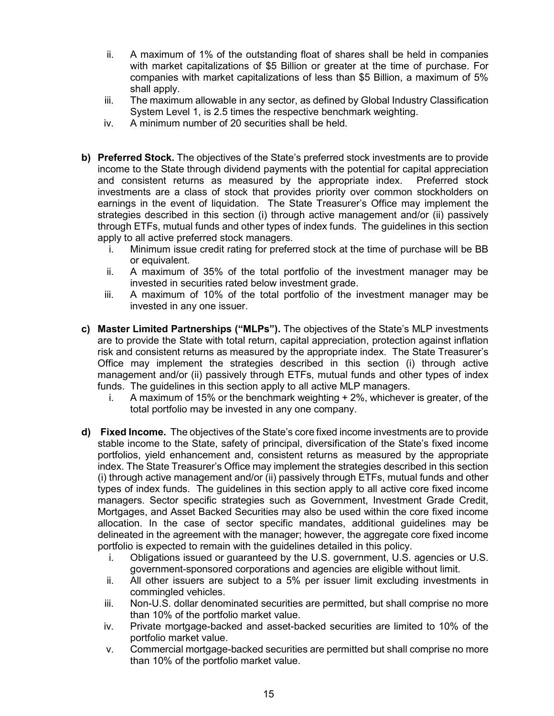- ii. A maximum of 1% of the outstanding float of shares shall be held in companies with market capitalizations of \$5 Billion or greater at the time of purchase. For companies with market capitalizations of less than \$5 Billion, a maximum of 5% shall apply.
- iii. The maximum allowable in any sector, as defined by Global Industry Classification System Level 1, is 2.5 times the respective benchmark weighting.
- iv. A minimum number of 20 securities shall be held.
- **b) Preferred Stock.** The objectives of the State's preferred stock investments are to provide income to the State through dividend payments with the potential for capital appreciation and consistent returns as measured by the appropriate index. Preferred stock investments are a class of stock that provides priority over common stockholders on earnings in the event of liquidation. The State Treasurer's Office may implement the strategies described in this section (i) through active management and/or (ii) passively through ETFs, mutual funds and other types of index funds. The guidelines in this section apply to all active preferred stock managers.
	- i. Minimum issue credit rating for preferred stock at the time of purchase will be BB or equivalent.
	- ii. A maximum of 35% of the total portfolio of the investment manager may be invested in securities rated below investment grade.
	- iii. A maximum of 10% of the total portfolio of the investment manager may be invested in any one issuer.
- **c) Master Limited Partnerships ("MLPs").** The objectives of the State's MLP investments are to provide the State with total return, capital appreciation, protection against inflation risk and consistent returns as measured by the appropriate index. The State Treasurer's Office may implement the strategies described in this section (i) through active management and/or (ii) passively through ETFs, mutual funds and other types of index funds. The guidelines in this section apply to all active MLP managers.
	- i. A maximum of 15% or the benchmark weighting + 2%, whichever is greater, of the total portfolio may be invested in any one company.
- **d) Fixed Income.** The objectives of the State's core fixed income investments are to provide stable income to the State, safety of principal, diversification of the State's fixed income portfolios, yield enhancement and, consistent returns as measured by the appropriate index. The State Treasurer's Office may implement the strategies described in this section (i) through active management and/or (ii) passively through ETFs, mutual funds and other types of index funds. The guidelines in this section apply to all active core fixed income managers. Sector specific strategies such as Government, Investment Grade Credit, Mortgages, and Asset Backed Securities may also be used within the core fixed income allocation. In the case of sector specific mandates, additional guidelines may be delineated in the agreement with the manager; however, the aggregate core fixed income portfolio is expected to remain with the guidelines detailed in this policy.
	- i. Obligations issued or guaranteed by the U.S. government, U.S. agencies or U.S. government-sponsored corporations and agencies are eligible without limit.
	- ii. All other issuers are subject to a 5% per issuer limit excluding investments in commingled vehicles.
	- iii. Non-U.S. dollar denominated securities are permitted, but shall comprise no more than 10% of the portfolio market value.
	- iv. Private mortgage-backed and asset-backed securities are limited to 10% of the portfolio market value.
	- v. Commercial mortgage-backed securities are permitted but shall comprise no more than 10% of the portfolio market value.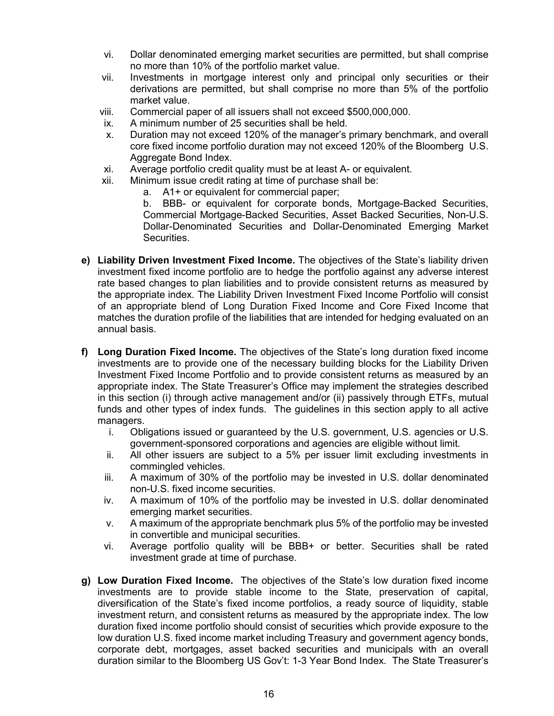- vi. Dollar denominated emerging market securities are permitted, but shall comprise no more than 10% of the portfolio market value.
- vii. Investments in mortgage interest only and principal only securities or their derivations are permitted, but shall comprise no more than 5% of the portfolio market value.
- viii. Commercial paper of all issuers shall not exceed \$500,000,000.
- ix. A minimum number of 25 securities shall be held.
- x. Duration may not exceed 120% of the manager's primary benchmark, and overall core fixed income portfolio duration may not exceed 120% of the Bloomberg U.S. Aggregate Bond Index.
- xi. Average portfolio credit quality must be at least A- or equivalent.
- xii. Minimum issue credit rating at time of purchase shall be:
	- a. A1+ or equivalent for commercial paper;

b. BBB- or equivalent for corporate bonds, Mortgage-Backed Securities, Commercial Mortgage-Backed Securities, Asset Backed Securities, Non-U.S. Dollar-Denominated Securities and Dollar-Denominated Emerging Market Securities.

- **e) Liability Driven Investment Fixed Income.** The objectives of the State's liability driven investment fixed income portfolio are to hedge the portfolio against any adverse interest rate based changes to plan liabilities and to provide consistent returns as measured by the appropriate index. The Liability Driven Investment Fixed Income Portfolio will consist of an appropriate blend of Long Duration Fixed Income and Core Fixed Income that matches the duration profile of the liabilities that are intended for hedging evaluated on an annual basis.
- **f) Long Duration Fixed Income.** The objectives of the State's long duration fixed income investments are to provide one of the necessary building blocks for the Liability Driven Investment Fixed Income Portfolio and to provide consistent returns as measured by an appropriate index. The State Treasurer's Office may implement the strategies described in this section (i) through active management and/or (ii) passively through ETFs, mutual funds and other types of index funds. The guidelines in this section apply to all active managers.
	- i. Obligations issued or guaranteed by the U.S. government, U.S. agencies or U.S. government-sponsored corporations and agencies are eligible without limit.
	- ii. All other issuers are subject to a 5% per issuer limit excluding investments in commingled vehicles.
	- iii. A maximum of 30% of the portfolio may be invested in U.S. dollar denominated non-U.S. fixed income securities.
	- iv. A maximum of 10% of the portfolio may be invested in U.S. dollar denominated emerging market securities.
	- v. A maximum of the appropriate benchmark plus 5% of the portfolio may be invested in convertible and municipal securities.
	- vi. Average portfolio quality will be BBB+ or better. Securities shall be rated investment grade at time of purchase.
- **g) Low Duration Fixed Income.** The objectives of the State's low duration fixed income investments are to provide stable income to the State, preservation of capital, diversification of the State's fixed income portfolios, a ready source of liquidity, stable investment return, and consistent returns as measured by the appropriate index. The low duration fixed income portfolio should consist of securities which provide exposure to the low duration U.S. fixed income market including Treasury and government agency bonds, corporate debt, mortgages, asset backed securities and municipals with an overall duration similar to the Bloomberg US Gov't: 1-3 Year Bond Index. The State Treasurer's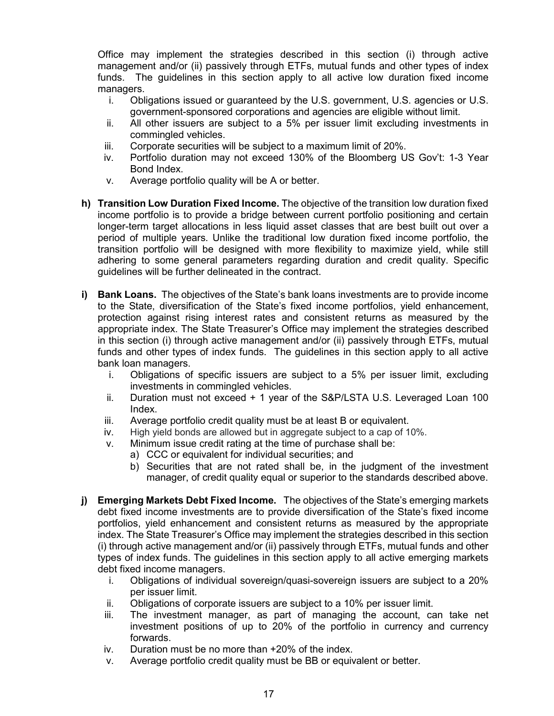Office may implement the strategies described in this section (i) through active management and/or (ii) passively through ETFs, mutual funds and other types of index funds. The guidelines in this section apply to all active low duration fixed income managers.

- i. Obligations issued or guaranteed by the U.S. government, U.S. agencies or U.S. government-sponsored corporations and agencies are eligible without limit.
- ii. All other issuers are subject to a 5% per issuer limit excluding investments in commingled vehicles.
- iii. Corporate securities will be subject to a maximum limit of 20%.
- iv. Portfolio duration may not exceed 130% of the Bloomberg US Gov't: 1-3 Year Bond Index.
- v. Average portfolio quality will be A or better.
- **h) Transition Low Duration Fixed Income.** The objective of the transition low duration fixed income portfolio is to provide a bridge between current portfolio positioning and certain longer-term target allocations in less liquid asset classes that are best built out over a period of multiple years. Unlike the traditional low duration fixed income portfolio, the transition portfolio will be designed with more flexibility to maximize yield, while still adhering to some general parameters regarding duration and credit quality. Specific guidelines will be further delineated in the contract.
- **i) Bank Loans.** The objectives of the State's bank loans investments are to provide income to the State, diversification of the State's fixed income portfolios, yield enhancement, protection against rising interest rates and consistent returns as measured by the appropriate index. The State Treasurer's Office may implement the strategies described in this section (i) through active management and/or (ii) passively through ETFs, mutual funds and other types of index funds. The guidelines in this section apply to all active bank loan managers.
	- i. Obligations of specific issuers are subject to a 5% per issuer limit, excluding investments in commingled vehicles.
	- ii. Duration must not exceed + 1 year of the S&P/LSTA U.S. Leveraged Loan 100 Index.
	- iii. Average portfolio credit quality must be at least B or equivalent.
	- iv. High yield bonds are allowed but in aggregate subject to a cap of 10%.
	- v. Minimum issue credit rating at the time of purchase shall be:
		- a) CCC or equivalent for individual securities; and
		- b) Securities that are not rated shall be, in the judgment of the investment manager, of credit quality equal or superior to the standards described above.
- **j) Emerging Markets Debt Fixed Income.** The objectives of the State's emerging markets debt fixed income investments are to provide diversification of the State's fixed income portfolios, yield enhancement and consistent returns as measured by the appropriate index. The State Treasurer's Office may implement the strategies described in this section (i) through active management and/or (ii) passively through ETFs, mutual funds and other types of index funds. The guidelines in this section apply to all active emerging markets debt fixed income managers.
	- i. Obligations of individual sovereign/quasi-sovereign issuers are subject to a 20% per issuer limit.
	- ii. Obligations of corporate issuers are subject to a 10% per issuer limit.
	- iii. The investment manager, as part of managing the account, can take net investment positions of up to 20% of the portfolio in currency and currency forwards.
	- iv. Duration must be no more than +20% of the index.
	- v. Average portfolio credit quality must be BB or equivalent or better.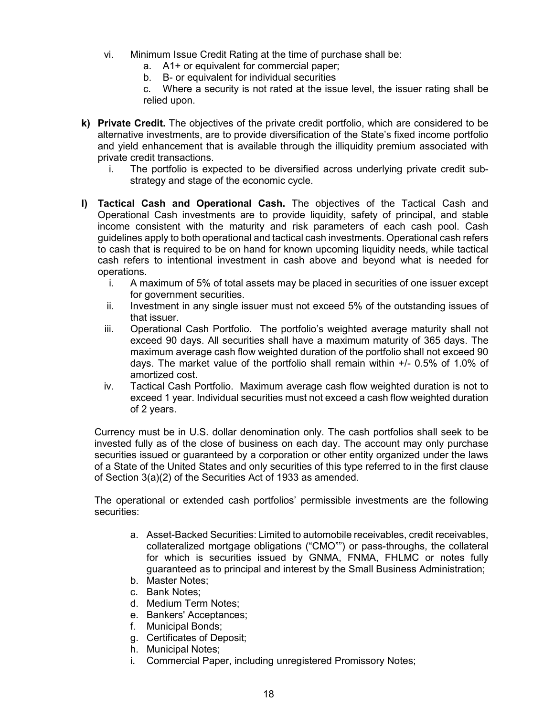- vi. Minimum Issue Credit Rating at the time of purchase shall be:
	- a. A1+ or equivalent for commercial paper;
	- b. B- or equivalent for individual securities

c. Where a security is not rated at the issue level, the issuer rating shall be relied upon.

- **k) Private Credit.** The objectives of the private credit portfolio, which are considered to be alternative investments, are to provide diversification of the State's fixed income portfolio and yield enhancement that is available through the illiquidity premium associated with private credit transactions.
	- i. The portfolio is expected to be diversified across underlying private credit substrategy and stage of the economic cycle.
- **l) Tactical Cash and Operational Cash.** The objectives of the Tactical Cash and Operational Cash investments are to provide liquidity, safety of principal, and stable income consistent with the maturity and risk parameters of each cash pool. Cash guidelines apply to both operational and tactical cash investments. Operational cash refers to cash that is required to be on hand for known upcoming liquidity needs, while tactical cash refers to intentional investment in cash above and beyond what is needed for operations.
	- i. A maximum of 5% of total assets may be placed in securities of one issuer except for government securities.
	- ii. Investment in any single issuer must not exceed 5% of the outstanding issues of that issuer.
	- iii. Operational Cash Portfolio. The portfolio's weighted average maturity shall not exceed 90 days. All securities shall have a maximum maturity of 365 days. The maximum average cash flow weighted duration of the portfolio shall not exceed 90 days. The market value of the portfolio shall remain within +/- 0.5% of 1.0% of amortized cost.
	- iv. Tactical Cash Portfolio. Maximum average cash flow weighted duration is not to exceed 1 year. Individual securities must not exceed a cash flow weighted duration of 2 years.

Currency must be in U.S. dollar denomination only. The cash portfolios shall seek to be invested fully as of the close of business on each day. The account may only purchase securities issued or guaranteed by a corporation or other entity organized under the laws of a State of the United States and only securities of this type referred to in the first clause of Section 3(a)(2) of the Securities Act of 1933 as amended.

The operational or extended cash portfolios' permissible investments are the following securities:

- a. Asset-Backed Securities: Limited to automobile receivables, credit receivables, collateralized mortgage obligations ("CMO"") or pass-throughs, the collateral for which is securities issued by GNMA, FNMA, FHLMC or notes fully guaranteed as to principal and interest by the Small Business Administration;
- b. Master Notes;
- c. Bank Notes;
- d. Medium Term Notes;
- e. Bankers' Acceptances;
- f. Municipal Bonds;
- g. Certificates of Deposit;
- h. Municipal Notes;
- i. Commercial Paper, including unregistered Promissory Notes;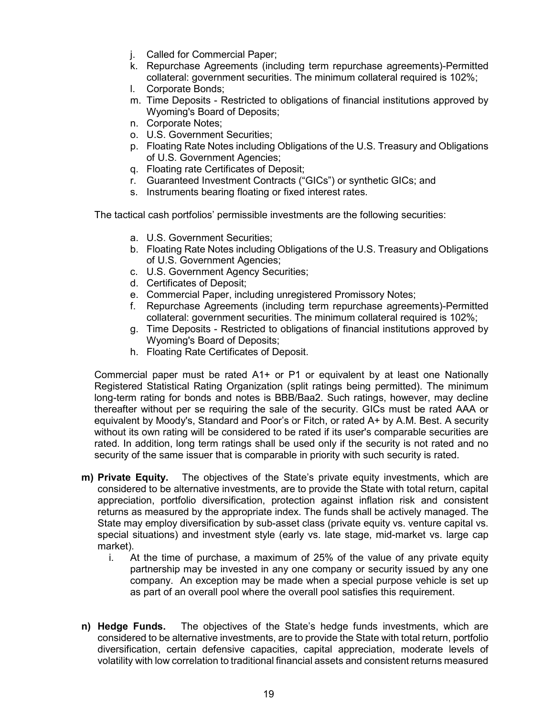- j. Called for Commercial Paper;
- k. Repurchase Agreements (including term repurchase agreements)-Permitted collateral: government securities. The minimum collateral required is 102%;
- l. Corporate Bonds;
- m. Time Deposits Restricted to obligations of financial institutions approved by Wyoming's Board of Deposits;
- n. Corporate Notes;
- o. U.S. Government Securities;
- p. Floating Rate Notes including Obligations of the U.S. Treasury and Obligations of U.S. Government Agencies;
- q. Floating rate Certificates of Deposit;
- r. Guaranteed Investment Contracts ("GICs") or synthetic GICs; and
- s. Instruments bearing floating or fixed interest rates.

The tactical cash portfolios' permissible investments are the following securities:

- a. U.S. Government Securities;
- b. Floating Rate Notes including Obligations of the U.S. Treasury and Obligations of U.S. Government Agencies;
- c. U.S. Government Agency Securities;
- d. Certificates of Deposit;
- e. Commercial Paper, including unregistered Promissory Notes;
- f. Repurchase Agreements (including term repurchase agreements)-Permitted collateral: government securities. The minimum collateral required is 102%;
- g. Time Deposits Restricted to obligations of financial institutions approved by Wyoming's Board of Deposits;
- h. Floating Rate Certificates of Deposit.

Commercial paper must be rated A1+ or P1 or equivalent by at least one Nationally Registered Statistical Rating Organization (split ratings being permitted). The minimum long-term rating for bonds and notes is BBB/Baa2. Such ratings, however, may decline thereafter without per se requiring the sale of the security. GICs must be rated AAA or equivalent by Moody's, Standard and Poor's or Fitch, or rated A+ by A.M. Best. A security without its own rating will be considered to be rated if its user's comparable securities are rated. In addition, long term ratings shall be used only if the security is not rated and no security of the same issuer that is comparable in priority with such security is rated.

- **m) Private Equity.** The objectives of the State's private equity investments, which are considered to be alternative investments, are to provide the State with total return, capital appreciation, portfolio diversification, protection against inflation risk and consistent returns as measured by the appropriate index. The funds shall be actively managed. The State may employ diversification by sub-asset class (private equity vs. venture capital vs. special situations) and investment style (early vs. late stage, mid-market vs. large cap market).
	- i. At the time of purchase, a maximum of 25% of the value of any private equity partnership may be invested in any one company or security issued by any one company. An exception may be made when a special purpose vehicle is set up as part of an overall pool where the overall pool satisfies this requirement.
- **n) Hedge Funds.** The objectives of the State's hedge funds investments, which are considered to be alternative investments, are to provide the State with total return, portfolio diversification, certain defensive capacities, capital appreciation, moderate levels of volatility with low correlation to traditional financial assets and consistent returns measured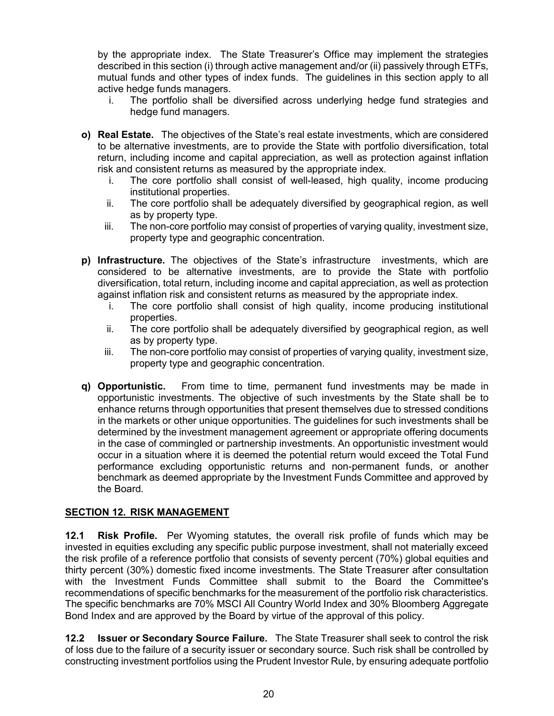by the appropriate index. The State Treasurer's Office may implement the strategies described in this section (i) through active management and/or (ii) passively through ETFs, mutual funds and other types of index funds. The guidelines in this section apply to all active hedge funds managers.

- i. The portfolio shall be diversified across underlying hedge fund strategies and hedge fund managers.
- **o) Real Estate.** The objectives of the State's real estate investments, which are considered to be alternative investments, are to provide the State with portfolio diversification, total return, including income and capital appreciation, as well as protection against inflation risk and consistent returns as measured by the appropriate index.
	- i. The core portfolio shall consist of well-leased, high quality, income producing institutional properties.
	- ii. The core portfolio shall be adequately diversified by geographical region, as well as by property type.
	- iii. The non-core portfolio may consist of properties of varying quality, investment size, property type and geographic concentration.
- **p) Infrastructure.** The objectives of the State's infrastructure investments, which are considered to be alternative investments, are to provide the State with portfolio diversification, total return, including income and capital appreciation, as well as protection against inflation risk and consistent returns as measured by the appropriate index.
	- i. The core portfolio shall consist of high quality, income producing institutional properties.
	- ii. The core portfolio shall be adequately diversified by geographical region, as well as by property type.
	- iii. The non-core portfolio may consist of properties of varying quality, investment size, property type and geographic concentration.
- **q) Opportunistic.** From time to time, permanent fund investments may be made in opportunistic investments. The objective of such investments by the State shall be to enhance returns through opportunities that present themselves due to stressed conditions in the markets or other unique opportunities. The guidelines for such investments shall be determined by the investment management agreement or appropriate offering documents in the case of commingled or partnership investments. An opportunistic investment would occur in a situation where it is deemed the potential return would exceed the Total Fund performance excluding opportunistic returns and non-permanent funds, or another benchmark as deemed appropriate by the Investment Funds Committee and approved by the Board.

#### <span id="page-19-0"></span>**SECTION 12. RISK MANAGEMENT**

**12.1 Risk Profile.** Per Wyoming statutes, the overall risk profile of funds which may be invested in equities excluding any specific public purpose investment, shall not materially exceed the risk profile of a reference portfolio that consists of seventy percent (70%) global equities and thirty percent (30%) domestic fixed income investments. The State Treasurer after consultation with the Investment Funds Committee shall submit to the Board the Committee's recommendations of specific benchmarks for the measurement of the portfolio risk characteristics. The specific benchmarks are 70% MSCI All Country World Index and 30% Bloomberg Aggregate Bond Index and are approved by the Board by virtue of the approval of this policy.

**12.2 Issuer or Secondary Source Failure.** The State Treasurer shall seek to control the risk of loss due to the failure of a security issuer or secondary source. Such risk shall be controlled by constructing investment portfolios using the Prudent Investor Rule, by ensuring adequate portfolio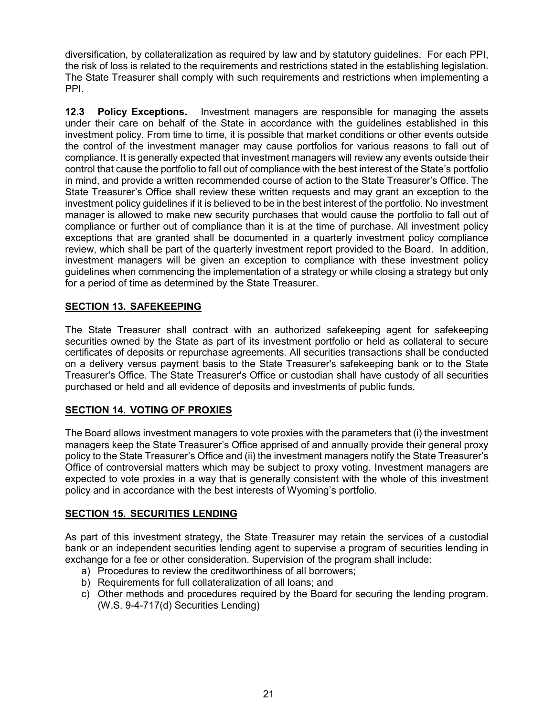diversification, by collateralization as required by law and by statutory guidelines. For each PPI, the risk of loss is related to the requirements and restrictions stated in the establishing legislation. The State Treasurer shall comply with such requirements and restrictions when implementing a PPI.

**12.3 Policy Exceptions.** Investment managers are responsible for managing the assets under their care on behalf of the State in accordance with the guidelines established in this investment policy. From time to time, it is possible that market conditions or other events outside the control of the investment manager may cause portfolios for various reasons to fall out of compliance. It is generally expected that investment managers will review any events outside their control that cause the portfolio to fall out of compliance with the best interest of the State's portfolio in mind, and provide a written recommended course of action to the State Treasurer's Office. The State Treasurer's Office shall review these written requests and may grant an exception to the investment policy guidelines if it is believed to be in the best interest of the portfolio. No investment manager is allowed to make new security purchases that would cause the portfolio to fall out of compliance or further out of compliance than it is at the time of purchase. All investment policy exceptions that are granted shall be documented in a quarterly investment policy compliance review, which shall be part of the quarterly investment report provided to the Board. In addition, investment managers will be given an exception to compliance with these investment policy guidelines when commencing the implementation of a strategy or while closing a strategy but only for a period of time as determined by the State Treasurer.

## <span id="page-20-0"></span>**SECTION 13. SAFEKEEPING**

The State Treasurer shall contract with an authorized safekeeping agent for safekeeping securities owned by the State as part of its investment portfolio or held as collateral to secure certificates of deposits or repurchase agreements. All securities transactions shall be conducted on a delivery versus payment basis to the State Treasurer's safekeeping bank or to the State Treasurer's Office. The State Treasurer's Office or custodian shall have custody of all securities purchased or held and all evidence of deposits and investments of public funds.

#### <span id="page-20-1"></span>**SECTION 14. VOTING OF PROXIES**

The Board allows investment managers to vote proxies with the parameters that (i) the investment managers keep the State Treasurer's Office apprised of and annually provide their general proxy policy to the State Treasurer's Office and (ii) the investment managers notify the State Treasurer's Office of controversial matters which may be subject to proxy voting. Investment managers are expected to vote proxies in a way that is generally consistent with the whole of this investment policy and in accordance with the best interests of Wyoming's portfolio.

#### <span id="page-20-2"></span>**SECTION 15. SECURITIES LENDING**

As part of this investment strategy, the State Treasurer may retain the services of a custodial bank or an independent securities lending agent to supervise a program of securities lending in exchange for a fee or other consideration. Supervision of the program shall include:

- a) Procedures to review the creditworthiness of all borrowers;
- b) Requirements for full collateralization of all loans; and
- c) Other methods and procedures required by the Board for securing the lending program. (W.S. 9-4-717(d) Securities Lending)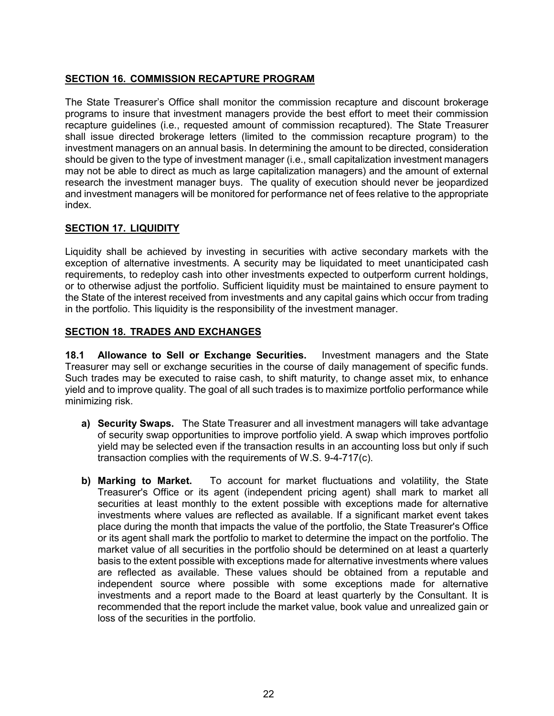## <span id="page-21-0"></span>**SECTION 16. COMMISSION RECAPTURE PROGRAM**

The State Treasurer's Office shall monitor the commission recapture and discount brokerage programs to insure that investment managers provide the best effort to meet their commission recapture guidelines (i.e., requested amount of commission recaptured). The State Treasurer shall issue directed brokerage letters (limited to the commission recapture program) to the investment managers on an annual basis. In determining the amount to be directed, consideration should be given to the type of investment manager (i.e., small capitalization investment managers may not be able to direct as much as large capitalization managers) and the amount of external research the investment manager buys. The quality of execution should never be jeopardized and investment managers will be monitored for performance net of fees relative to the appropriate index.

## <span id="page-21-1"></span>**SECTION 17. LIQUIDITY**

Liquidity shall be achieved by investing in securities with active secondary markets with the exception of alternative investments. A security may be liquidated to meet unanticipated cash requirements, to redeploy cash into other investments expected to outperform current holdings, or to otherwise adjust the portfolio. Sufficient liquidity must be maintained to ensure payment to the State of the interest received from investments and any capital gains which occur from trading in the portfolio. This liquidity is the responsibility of the investment manager.

#### <span id="page-21-2"></span>**SECTION 18. TRADES AND EXCHANGES**

**18.1 Allowance to Sell or Exchange Securities.** Investment managers and the State Treasurer may sell or exchange securities in the course of daily management of specific funds. Such trades may be executed to raise cash, to shift maturity, to change asset mix, to enhance yield and to improve quality. The goal of all such trades is to maximize portfolio performance while minimizing risk.

- **a) Security Swaps.** The State Treasurer and all investment managers will take advantage of security swap opportunities to improve portfolio yield. A swap which improves portfolio yield may be selected even if the transaction results in an accounting loss but only if such transaction complies with the requirements of W.S. 9-4-717(c).
- **b) Marking to Market.** To account for market fluctuations and volatility, the State Treasurer's Office or its agent (independent pricing agent) shall mark to market all securities at least monthly to the extent possible with exceptions made for alternative investments where values are reflected as available. If a significant market event takes place during the month that impacts the value of the portfolio, the State Treasurer's Office or its agent shall mark the portfolio to market to determine the impact on the portfolio. The market value of all securities in the portfolio should be determined on at least a quarterly basis to the extent possible with exceptions made for alternative investments where values are reflected as available. These values should be obtained from a reputable and independent source where possible with some exceptions made for alternative investments and a report made to the Board at least quarterly by the Consultant. It is recommended that the report include the market value, book value and unrealized gain or loss of the securities in the portfolio.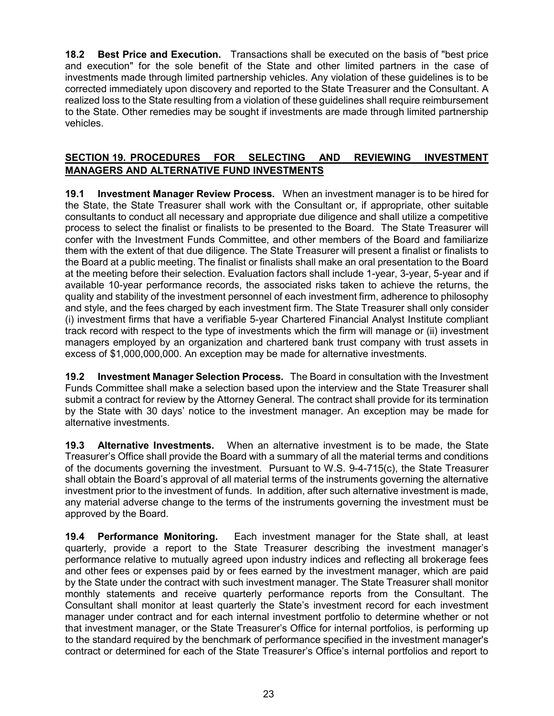**18.2 Best Price and Execution.** Transactions shall be executed on the basis of "best price and execution" for the sole benefit of the State and other limited partners in the case of investments made through limited partnership vehicles. Any violation of these guidelines is to be corrected immediately upon discovery and reported to the State Treasurer and the Consultant. A realized loss to the State resulting from a violation of these guidelines shall require reimbursement to the State. Other remedies may be sought if investments are made through limited partnership vehicles.

## <span id="page-22-0"></span>**SECTION 19. PROCEDURES FOR SELECTING AND REVIEWING INVESTMENT MANAGERS AND ALTERNATIVE FUND INVESTMENTS**

**19.1 Investment Manager Review Process.** When an investment manager is to be hired for the State, the State Treasurer shall work with the Consultant or, if appropriate, other suitable consultants to conduct all necessary and appropriate due diligence and shall utilize a competitive process to select the finalist or finalists to be presented to the Board. The State Treasurer will confer with the Investment Funds Committee, and other members of the Board and familiarize them with the extent of that due diligence. The State Treasurer will present a finalist or finalists to the Board at a public meeting. The finalist or finalists shall make an oral presentation to the Board at the meeting before their selection. Evaluation factors shall include 1-year, 3-year, 5-year and if available 10-year performance records, the associated risks taken to achieve the returns, the quality and stability of the investment personnel of each investment firm, adherence to philosophy and style, and the fees charged by each investment firm. The State Treasurer shall only consider (i) investment firms that have a verifiable 5-year Chartered Financial Analyst Institute compliant track record with respect to the type of investments which the firm will manage or (ii) investment managers employed by an organization and chartered bank trust company with trust assets in excess of \$1,000,000,000. An exception may be made for alternative investments.

**19.2 Investment Manager Selection Process.** The Board in consultation with the Investment Funds Committee shall make a selection based upon the interview and the State Treasurer shall submit a contract for review by the Attorney General. The contract shall provide for its termination by the State with 30 days' notice to the investment manager. An exception may be made for alternative investments.

**19.3 Alternative Investments.** When an alternative investment is to be made, the State Treasurer's Office shall provide the Board with a summary of all the material terms and conditions of the documents governing the investment. Pursuant to W.S. 9-4-715(c), the State Treasurer shall obtain the Board's approval of all material terms of the instruments governing the alternative investment prior to the investment of funds. In addition, after such alternative investment is made, any material adverse change to the terms of the instruments governing the investment must be approved by the Board.

**19.4 Performance Monitoring.** Each investment manager for the State shall, at least quarterly, provide a report to the State Treasurer describing the investment manager's performance relative to mutually agreed upon industry indices and reflecting all brokerage fees and other fees or expenses paid by or fees earned by the investment manager, which are paid by the State under the contract with such investment manager. The State Treasurer shall monitor monthly statements and receive quarterly performance reports from the Consultant. The Consultant shall monitor at least quarterly the State's investment record for each investment manager under contract and for each internal investment portfolio to determine whether or not that investment manager, or the State Treasurer's Office for internal portfolios, is performing up to the standard required by the benchmark of performance specified in the investment manager's contract or determined for each of the State Treasurer's Office's internal portfolios and report to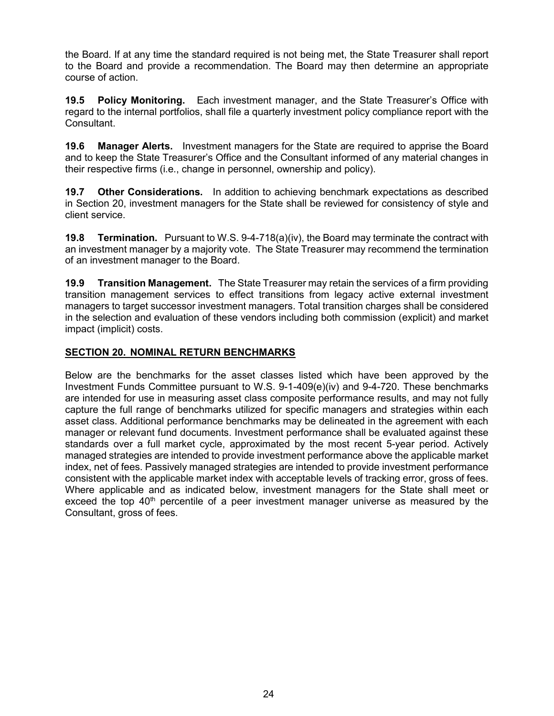the Board. If at any time the standard required is not being met, the State Treasurer shall report to the Board and provide a recommendation. The Board may then determine an appropriate course of action.

**19.5 Policy Monitoring.** Each investment manager, and the State Treasurer's Office with regard to the internal portfolios, shall file a quarterly investment policy compliance report with the Consultant.

**19.6 Manager Alerts.** Investment managers for the State are required to apprise the Board and to keep the State Treasurer's Office and the Consultant informed of any material changes in their respective firms (i.e., change in personnel, ownership and policy).

**19.7 Other Considerations.** In addition to achieving benchmark expectations as described in Section 20, investment managers for the State shall be reviewed for consistency of style and client service.

**19.8 Termination.** Pursuant to W.S. 9-4-718(a)(iv), the Board may terminate the contract with an investment manager by a majority vote. The State Treasurer may recommend the termination of an investment manager to the Board.

**19.9 Transition Management.** The State Treasurer may retain the services of a firm providing transition management services to effect transitions from legacy active external investment managers to target successor investment managers. Total transition charges shall be considered in the selection and evaluation of these vendors including both commission (explicit) and market impact (implicit) costs.

## <span id="page-23-0"></span>**SECTION 20. NOMINAL RETURN BENCHMARKS**

Below are the benchmarks for the asset classes listed which have been approved by the Investment Funds Committee pursuant to W.S. 9-1-409(e)(iv) and 9-4-720. These benchmarks are intended for use in measuring asset class composite performance results, and may not fully capture the full range of benchmarks utilized for specific managers and strategies within each asset class. Additional performance benchmarks may be delineated in the agreement with each manager or relevant fund documents. Investment performance shall be evaluated against these standards over a full market cycle, approximated by the most recent 5-year period. Actively managed strategies are intended to provide investment performance above the applicable market index, net of fees. Passively managed strategies are intended to provide investment performance consistent with the applicable market index with acceptable levels of tracking error, gross of fees. Where applicable and as indicated below, investment managers for the State shall meet or exceed the top  $40<sup>th</sup>$  percentile of a peer investment manager universe as measured by the Consultant, gross of fees.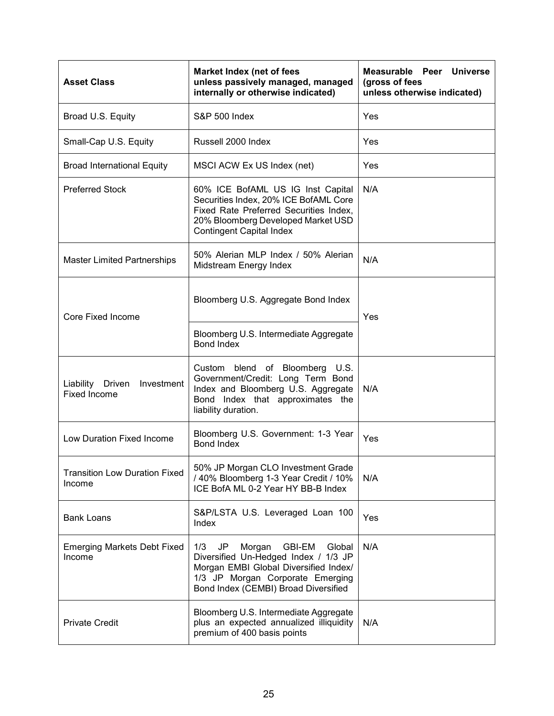| <b>Asset Class</b>                                       | <b>Market Index (net of fees</b><br>unless passively managed, managed<br>internally or otherwise indicated)                                                                                          | Measurable Peer Universe<br>(gross of fees<br>unless otherwise indicated) |
|----------------------------------------------------------|------------------------------------------------------------------------------------------------------------------------------------------------------------------------------------------------------|---------------------------------------------------------------------------|
| Broad U.S. Equity                                        | <b>S&amp;P 500 Index</b>                                                                                                                                                                             | Yes                                                                       |
| Small-Cap U.S. Equity                                    | Russell 2000 Index                                                                                                                                                                                   | Yes                                                                       |
| <b>Broad International Equity</b>                        | MSCI ACW Ex US Index (net)                                                                                                                                                                           | Yes                                                                       |
| <b>Preferred Stock</b>                                   | 60% ICE BofAML US IG Inst Capital<br>Securities Index, 20% ICE BofAML Core<br>Fixed Rate Preferred Securities Index,<br>20% Bloomberg Developed Market USD<br><b>Contingent Capital Index</b>        | N/A                                                                       |
| <b>Master Limited Partnerships</b>                       | 50% Alerian MLP Index / 50% Alerian<br>Midstream Energy Index                                                                                                                                        | N/A                                                                       |
| <b>Core Fixed Income</b>                                 | Bloomberg U.S. Aggregate Bond Index                                                                                                                                                                  | Yes                                                                       |
|                                                          | Bloomberg U.S. Intermediate Aggregate<br><b>Bond Index</b>                                                                                                                                           |                                                                           |
| Liability<br>Driven<br>Investment<br><b>Fixed Income</b> | Custom blend of Bloomberg<br>U.S.<br>Government/Credit: Long Term Bond<br>Index and Bloomberg U.S. Aggregate<br>Bond Index that approximates the<br>liability duration.                              | N/A                                                                       |
| Low Duration Fixed Income                                | Bloomberg U.S. Government: 1-3 Year<br><b>Bond Index</b>                                                                                                                                             | Yes                                                                       |
| <b>Transition Low Duration Fixed</b><br>Income           | 50% JP Morgan CLO Investment Grade<br>/ 40% Bloomberg 1-3 Year Credit / 10%<br>ICE BofA ML 0-2 Year HY BB-B Index                                                                                    | N/A                                                                       |
| <b>Bank Loans</b>                                        | S&P/LSTA U.S. Leveraged Loan 100<br>Index                                                                                                                                                            | Yes                                                                       |
| <b>Emerging Markets Debt Fixed</b><br>Income             | JP<br>1/3<br>Morgan<br>GBI-EM<br>Global<br>Diversified Un-Hedged Index / 1/3 JP<br>Morgan EMBI Global Diversified Index/<br>1/3 JP Morgan Corporate Emerging<br>Bond Index (CEMBI) Broad Diversified | N/A                                                                       |
| <b>Private Credit</b>                                    | Bloomberg U.S. Intermediate Aggregate<br>plus an expected annualized illiquidity<br>premium of 400 basis points                                                                                      | N/A                                                                       |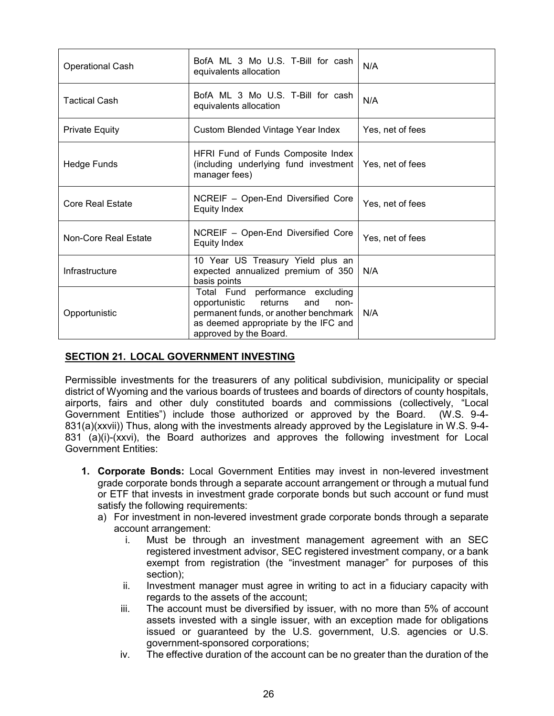| <b>Operational Cash</b>     | BofA ML 3 Mo U.S. T-Bill for cash<br>equivalents allocation                                                                                                                            | N/A              |
|-----------------------------|----------------------------------------------------------------------------------------------------------------------------------------------------------------------------------------|------------------|
| <b>Tactical Cash</b>        | BofA ML 3 Mo U.S. T-Bill for cash<br>equivalents allocation                                                                                                                            | N/A              |
| <b>Private Equity</b>       | Custom Blended Vintage Year Index                                                                                                                                                      | Yes, net of fees |
| Hedge Funds                 | HFRI Fund of Funds Composite Index<br>(including underlying fund investment<br>manager fees)                                                                                           | Yes, net of fees |
| <b>Core Real Estate</b>     | NCREIF - Open-End Diversified Core<br><b>Equity Index</b>                                                                                                                              | Yes, net of fees |
| <b>Non-Core Real Estate</b> | NCREIF - Open-End Diversified Core<br><b>Equity Index</b>                                                                                                                              | Yes, net of fees |
| Infrastructure              | 10 Year US Treasury Yield plus an<br>expected annualized premium of 350<br>basis points                                                                                                | N/A              |
| Opportunistic               | Total Fund performance excluding<br>returns<br>opportunistic<br>and<br>non-<br>permanent funds, or another benchmark<br>as deemed appropriate by the IFC and<br>approved by the Board. | N/A              |

## <span id="page-25-0"></span>**SECTION 21. LOCAL GOVERNMENT INVESTING**

Permissible investments for the treasurers of any political subdivision, municipality or special district of Wyoming and the various boards of trustees and boards of directors of county hospitals, airports, fairs and other duly constituted boards and commissions (collectively, "Local Government Entities") include those authorized or approved by the Board. (W.S. 9-4- 831(a)(xxvii)) Thus, along with the investments already approved by the Legislature in W.S. 9-4- 831 (a)(i)-(xxvi), the Board authorizes and approves the following investment for Local Government Entities:

- **1. Corporate Bonds:** Local Government Entities may invest in non-levered investment grade corporate bonds through a separate account arrangement or through a mutual fund or ETF that invests in investment grade corporate bonds but such account or fund must satisfy the following requirements:
	- a) For investment in non-levered investment grade corporate bonds through a separate account arrangement:
		- i. Must be through an investment management agreement with an SEC registered investment advisor, SEC registered investment company, or a bank exempt from registration (the "investment manager" for purposes of this section);
		- ii. Investment manager must agree in writing to act in a fiduciary capacity with regards to the assets of the account;
		- iii. The account must be diversified by issuer, with no more than 5% of account assets invested with a single issuer, with an exception made for obligations issued or guaranteed by the U.S. government, U.S. agencies or U.S. government-sponsored corporations;
		- iv. The effective duration of the account can be no greater than the duration of the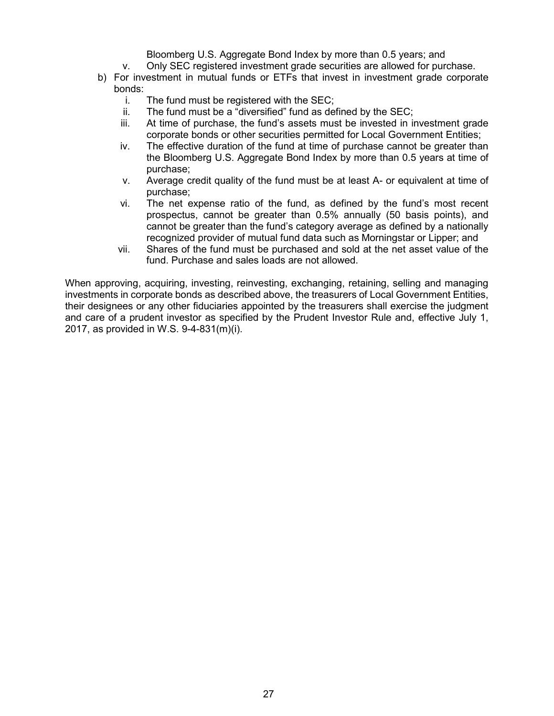Bloomberg U.S. Aggregate Bond Index by more than 0.5 years; and

- v. Only SEC registered investment grade securities are allowed for purchase.
- b) For investment in mutual funds or ETFs that invest in investment grade corporate bonds:
	- i. The fund must be registered with the SEC;
	- ii. The fund must be a "diversified" fund as defined by the SEC;
	- iii. At time of purchase, the fund's assets must be invested in investment grade corporate bonds or other securities permitted for Local Government Entities;
	- iv. The effective duration of the fund at time of purchase cannot be greater than the Bloomberg U.S. Aggregate Bond Index by more than 0.5 years at time of purchase;
	- v. Average credit quality of the fund must be at least A- or equivalent at time of purchase;
	- vi. The net expense ratio of the fund, as defined by the fund's most recent prospectus, cannot be greater than 0.5% annually (50 basis points), and cannot be greater than the fund's category average as defined by a nationally recognized provider of mutual fund data such as Morningstar or Lipper; and
	- vii. Shares of the fund must be purchased and sold at the net asset value of the fund. Purchase and sales loads are not allowed.

When approving, acquiring, investing, reinvesting, exchanging, retaining, selling and managing investments in corporate bonds as described above, the treasurers of Local Government Entities, their designees or any other fiduciaries appointed by the treasurers shall exercise the judgment and care of a prudent investor as specified by the Prudent Investor Rule and, effective July 1, 2017, as provided in W.S. 9-4-831(m)(i).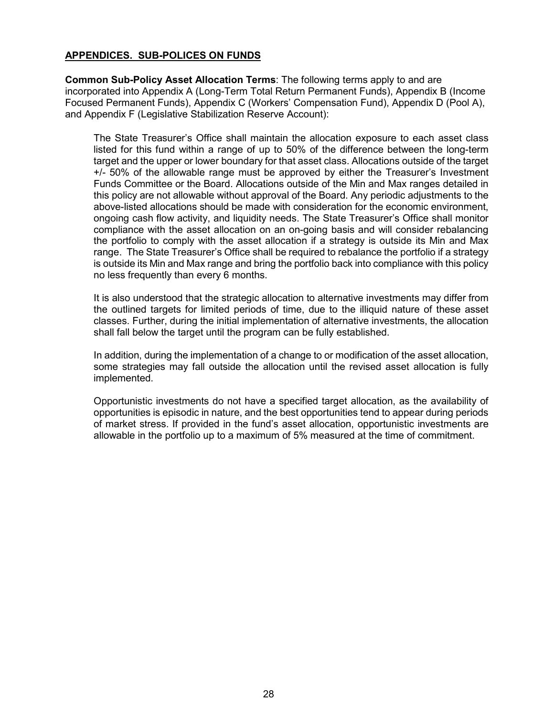#### <span id="page-27-0"></span>**APPENDICES. SUB-POLICES ON FUNDS**

**Common Sub-Policy Asset Allocation Terms**: The following terms apply to and are incorporated into Appendix A (Long-Term Total Return Permanent Funds), Appendix B (Income Focused Permanent Funds), Appendix C (Workers' Compensation Fund), Appendix D (Pool A), and Appendix F (Legislative Stabilization Reserve Account):

The State Treasurer's Office shall maintain the allocation exposure to each asset class listed for this fund within a range of up to 50% of the difference between the long-term target and the upper or lower boundary for that asset class. Allocations outside of the target +/- 50% of the allowable range must be approved by either the Treasurer's Investment Funds Committee or the Board. Allocations outside of the Min and Max ranges detailed in this policy are not allowable without approval of the Board. Any periodic adjustments to the above-listed allocations should be made with consideration for the economic environment, ongoing cash flow activity, and liquidity needs. The State Treasurer's Office shall monitor compliance with the asset allocation on an on-going basis and will consider rebalancing the portfolio to comply with the asset allocation if a strategy is outside its Min and Max range. The State Treasurer's Office shall be required to rebalance the portfolio if a strategy is outside its Min and Max range and bring the portfolio back into compliance with this policy no less frequently than every 6 months.

It is also understood that the strategic allocation to alternative investments may differ from the outlined targets for limited periods of time, due to the illiquid nature of these asset classes. Further, during the initial implementation of alternative investments, the allocation shall fall below the target until the program can be fully established.

In addition, during the implementation of a change to or modification of the asset allocation, some strategies may fall outside the allocation until the revised asset allocation is fully implemented.

Opportunistic investments do not have a specified target allocation, as the availability of opportunities is episodic in nature, and the best opportunities tend to appear during periods of market stress. If provided in the fund's asset allocation, opportunistic investments are allowable in the portfolio up to a maximum of 5% measured at the time of commitment.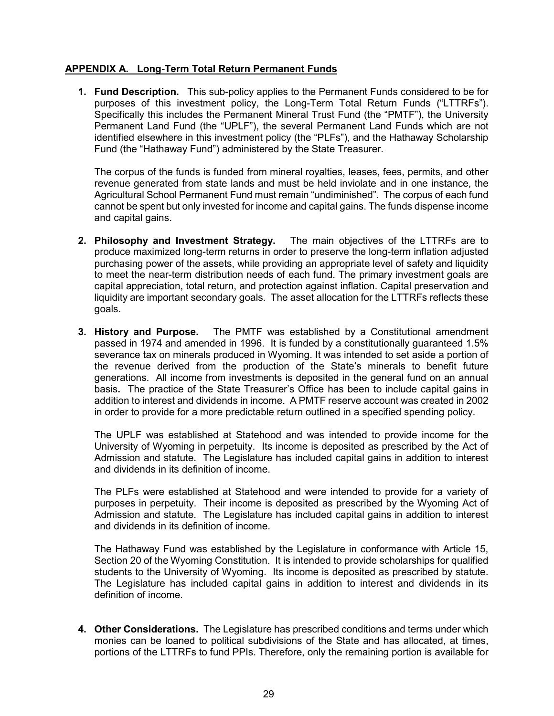#### <span id="page-28-0"></span>**APPENDIX A. Long-Term Total Return Permanent Funds**

**1. Fund Description.** This sub-policy applies to the Permanent Funds considered to be for purposes of this investment policy, the Long-Term Total Return Funds ("LTTRFs"). Specifically this includes the Permanent Mineral Trust Fund (the "PMTF"), the University Permanent Land Fund (the "UPLF"), the several Permanent Land Funds which are not identified elsewhere in this investment policy (the "PLFs"), and the Hathaway Scholarship Fund (the "Hathaway Fund") administered by the State Treasurer.

The corpus of the funds is funded from mineral royalties, leases, fees, permits, and other revenue generated from state lands and must be held inviolate and in one instance, the Agricultural School Permanent Fund must remain "undiminished". The corpus of each fund cannot be spent but only invested for income and capital gains. The funds dispense income and capital gains.

- **2. Philosophy and Investment Strategy.** The main objectives of the LTTRFs are to produce maximized long-term returns in order to preserve the long-term inflation adjusted purchasing power of the assets, while providing an appropriate level of safety and liquidity to meet the near-term distribution needs of each fund. The primary investment goals are capital appreciation, total return, and protection against inflation. Capital preservation and liquidity are important secondary goals. The asset allocation for the LTTRFs reflects these goals.
- **3. History and Purpose.** The PMTF was established by a Constitutional amendment passed in 1974 and amended in 1996. It is funded by a constitutionally guaranteed 1.5% severance tax on minerals produced in Wyoming. It was intended to set aside a portion of the revenue derived from the production of the State's minerals to benefit future generations. All income from investments is deposited in the general fund on an annual basis**.** The practice of the State Treasurer's Office has been to include capital gains in addition to interest and dividends in income. A PMTF reserve account was created in 2002 in order to provide for a more predictable return outlined in a specified spending policy.

The UPLF was established at Statehood and was intended to provide income for the University of Wyoming in perpetuity. Its income is deposited as prescribed by the Act of Admission and statute. The Legislature has included capital gains in addition to interest and dividends in its definition of income.

The PLFs were established at Statehood and were intended to provide for a variety of purposes in perpetuity. Their income is deposited as prescribed by the Wyoming Act of Admission and statute. The Legislature has included capital gains in addition to interest and dividends in its definition of income.

The Hathaway Fund was established by the Legislature in conformance with Article 15, Section 20 of the Wyoming Constitution. It is intended to provide scholarships for qualified students to the University of Wyoming. Its income is deposited as prescribed by statute. The Legislature has included capital gains in addition to interest and dividends in its definition of income.

**4. Other Considerations.** The Legislature has prescribed conditions and terms under which monies can be loaned to political subdivisions of the State and has allocated, at times, portions of the LTTRFs to fund PPIs. Therefore, only the remaining portion is available for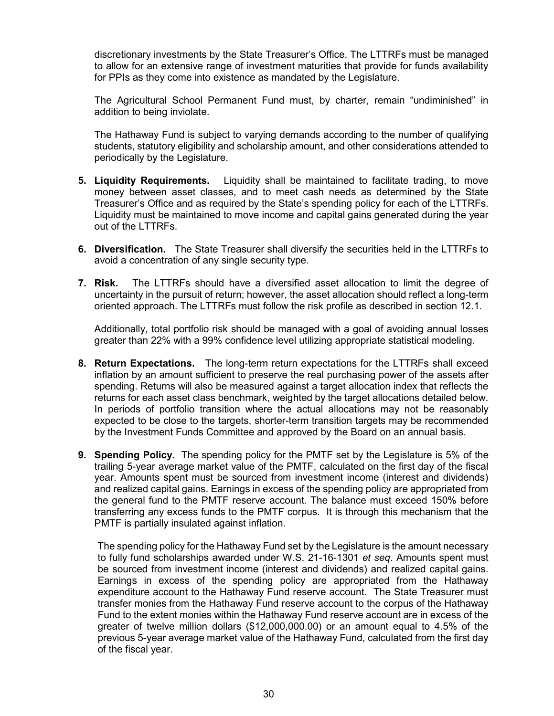discretionary investments by the State Treasurer's Office. The LTTRFs must be managed to allow for an extensive range of investment maturities that provide for funds availability for PPIs as they come into existence as mandated by the Legislature.

The Agricultural School Permanent Fund must, by charter, remain "undiminished" in addition to being inviolate.

The Hathaway Fund is subject to varying demands according to the number of qualifying students, statutory eligibility and scholarship amount, and other considerations attended to periodically by the Legislature.

- **5. Liquidity Requirements.** Liquidity shall be maintained to facilitate trading, to move money between asset classes, and to meet cash needs as determined by the State Treasurer's Office and as required by the State's spending policy for each of the LTTRFs. Liquidity must be maintained to move income and capital gains generated during the year out of the LTTRFs.
- **6. Diversification.** The State Treasurer shall diversify the securities held in the LTTRFs to avoid a concentration of any single security type.
- **7. Risk.** The LTTRFs should have a diversified asset allocation to limit the degree of uncertainty in the pursuit of return; however, the asset allocation should reflect a long-term oriented approach. The LTTRFs must follow the risk profile as described in section 12.1.

Additionally, total portfolio risk should be managed with a goal of avoiding annual losses greater than 22% with a 99% confidence level utilizing appropriate statistical modeling.

- **8. Return Expectations.** The long-term return expectations for the LTTRFs shall exceed inflation by an amount sufficient to preserve the real purchasing power of the assets after spending. Returns will also be measured against a target allocation index that reflects the returns for each asset class benchmark, weighted by the target allocations detailed below. In periods of portfolio transition where the actual allocations may not be reasonably expected to be close to the targets, shorter-term transition targets may be recommended by the Investment Funds Committee and approved by the Board on an annual basis.
- **9. Spending Policy.** The spending policy for the PMTF set by the Legislature is 5% of the trailing 5-year average market value of the PMTF, calculated on the first day of the fiscal year. Amounts spent must be sourced from investment income (interest and dividends) and realized capital gains. Earnings in excess of the spending policy are appropriated from the general fund to the PMTF reserve account. The balance must exceed 150% before transferring any excess funds to the PMTF corpus. It is through this mechanism that the PMTF is partially insulated against inflation.

The spending policy for the Hathaway Fund set by the Legislature is the amount necessary to fully fund scholarships awarded under W.S. 21-16-1301 *et seq.* Amounts spent must be sourced from investment income (interest and dividends) and realized capital gains. Earnings in excess of the spending policy are appropriated from the Hathaway expenditure account to the Hathaway Fund reserve account. The State Treasurer must transfer monies from the Hathaway Fund reserve account to the corpus of the Hathaway Fund to the extent monies within the Hathaway Fund reserve account are in excess of the greater of twelve million dollars (\$12,000,000.00) or an amount equal to 4.5% of the previous 5-year average market value of the Hathaway Fund, calculated from the first day of the fiscal year.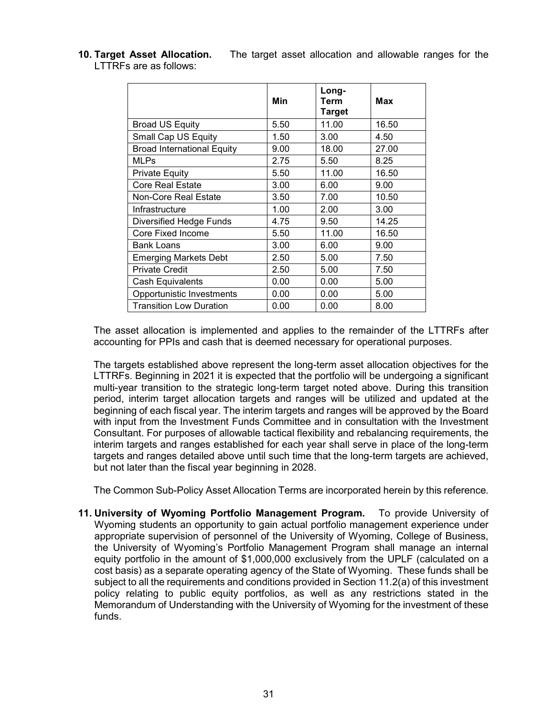# LTTRFs are as follows:

**10. Target Asset Allocation.** The target asset allocation and allowable ranges for the

|                                   | Min  | Long-<br>Term<br><b>Target</b> | Max   |
|-----------------------------------|------|--------------------------------|-------|
| <b>Broad US Equity</b>            | 5.50 | 11.00                          | 16.50 |
| Small Cap US Equity               | 1.50 | 3.00                           | 4.50  |
| <b>Broad International Equity</b> | 9.00 | 18.00                          | 27.00 |
| <b>MLPs</b>                       | 2.75 | 5.50                           | 8.25  |
| <b>Private Equity</b>             | 5.50 | 11.00                          | 16.50 |
| <b>Core Real Estate</b>           | 3.00 | 6.00                           | 9.00  |
| Non-Core Real Estate              | 3.50 | 7.00                           | 10.50 |
| Infrastructure                    | 1.00 | 2.00                           | 3.00  |
| <b>Diversified Hedge Funds</b>    | 4.75 | 9.50                           | 14.25 |
| Core Fixed Income                 | 5.50 | 11.00                          | 16.50 |
| <b>Bank Loans</b>                 | 3.00 | 6.00                           | 9.00  |
| <b>Emerging Markets Debt</b>      | 2.50 | 5.00                           | 7.50  |
| <b>Private Credit</b>             | 2.50 | 5.00                           | 7.50  |
| <b>Cash Equivalents</b>           | 0.00 | 0.00                           | 5.00  |
| Opportunistic Investments         | 0.00 | 0.00                           | 5.00  |
| <b>Transition Low Duration</b>    | 0.00 | 0.00                           | 8.00  |

The asset allocation is implemented and applies to the remainder of the LTTRFs after accounting for PPIs and cash that is deemed necessary for operational purposes.

The targets established above represent the long-term asset allocation objectives for the LTTRFs. Beginning in 2021 it is expected that the portfolio will be undergoing a significant multi-year transition to the strategic long-term target noted above. During this transition period, interim target allocation targets and ranges will be utilized and updated at the beginning of each fiscal year. The interim targets and ranges will be approved by the Board with input from the Investment Funds Committee and in consultation with the Investment Consultant. For purposes of allowable tactical flexibility and rebalancing requirements, the interim targets and ranges established for each year shall serve in place of the long-term targets and ranges detailed above until such time that the long-term targets are achieved, but not later than the fiscal year beginning in 2028.

The Common Sub-Policy Asset Allocation Terms are incorporated herein by this reference.

**11. University of Wyoming Portfolio Management Program.** To provide University of Wyoming students an opportunity to gain actual portfolio management experience under appropriate supervision of personnel of the University of Wyoming, College of Business, the University of Wyoming's Portfolio Management Program shall manage an internal equity portfolio in the amount of \$1,000,000 exclusively from the UPLF (calculated on a cost basis) as a separate operating agency of the State of Wyoming. These funds shall be subiect to all the requirements and conditions provided in Section 11.2(a) of this investment policy relating to public equity portfolios, as well as any restrictions stated in the Memorandum of Understanding with the University of Wyoming for the investment of these funds.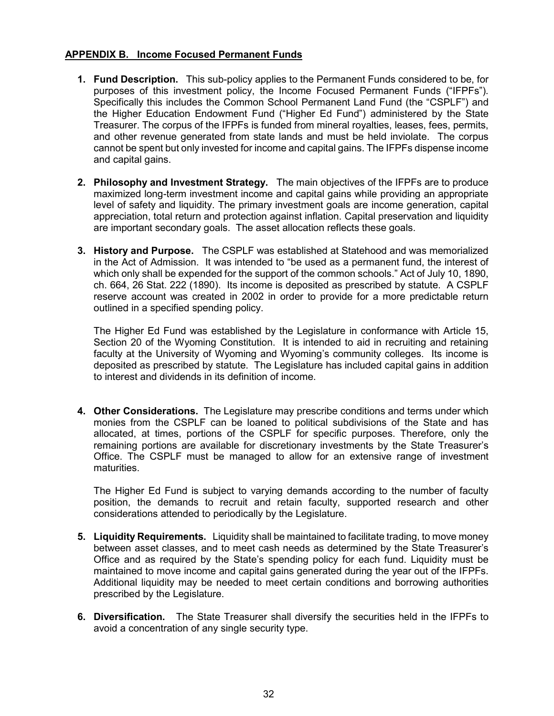#### <span id="page-31-0"></span>**APPENDIX B. Income Focused Permanent Funds**

- **1. Fund Description.** This sub-policy applies to the Permanent Funds considered to be, for purposes of this investment policy, the Income Focused Permanent Funds ("IFPFs"). Specifically this includes the Common School Permanent Land Fund (the "CSPLF") and the Higher Education Endowment Fund ("Higher Ed Fund") administered by the State Treasurer. The corpus of the IFPFs is funded from mineral royalties, leases, fees, permits, and other revenue generated from state lands and must be held inviolate. The corpus cannot be spent but only invested for income and capital gains. The IFPFs dispense income and capital gains.
- **2. Philosophy and Investment Strategy.** The main objectives of the IFPFs are to produce maximized long-term investment income and capital gains while providing an appropriate level of safety and liquidity. The primary investment goals are income generation, capital appreciation, total return and protection against inflation. Capital preservation and liquidity are important secondary goals. The asset allocation reflects these goals.
- **3. History and Purpose.** The CSPLF was established at Statehood and was memorialized in the Act of Admission. It was intended to "be used as a permanent fund, the interest of which only shall be expended for the support of the common schools." Act of July 10, 1890, ch. 664, 26 Stat. 222 (1890). Its income is deposited as prescribed by statute. A CSPLF reserve account was created in 2002 in order to provide for a more predictable return outlined in a specified spending policy.

The Higher Ed Fund was established by the Legislature in conformance with Article 15, Section 20 of the Wyoming Constitution. It is intended to aid in recruiting and retaining faculty at the University of Wyoming and Wyoming's community colleges. Its income is deposited as prescribed by statute. The Legislature has included capital gains in addition to interest and dividends in its definition of income.

**4. Other Considerations.** The Legislature may prescribe conditions and terms under which monies from the CSPLF can be loaned to political subdivisions of the State and has allocated, at times, portions of the CSPLF for specific purposes. Therefore, only the remaining portions are available for discretionary investments by the State Treasurer's Office. The CSPLF must be managed to allow for an extensive range of investment maturities.

The Higher Ed Fund is subject to varying demands according to the number of faculty position, the demands to recruit and retain faculty, supported research and other considerations attended to periodically by the Legislature.

- **5. Liquidity Requirements.** Liquidity shall be maintained to facilitate trading, to move money between asset classes, and to meet cash needs as determined by the State Treasurer's Office and as required by the State's spending policy for each fund. Liquidity must be maintained to move income and capital gains generated during the year out of the IFPFs. Additional liquidity may be needed to meet certain conditions and borrowing authorities prescribed by the Legislature.
- **6. Diversification.** The State Treasurer shall diversify the securities held in the IFPFs to avoid a concentration of any single security type.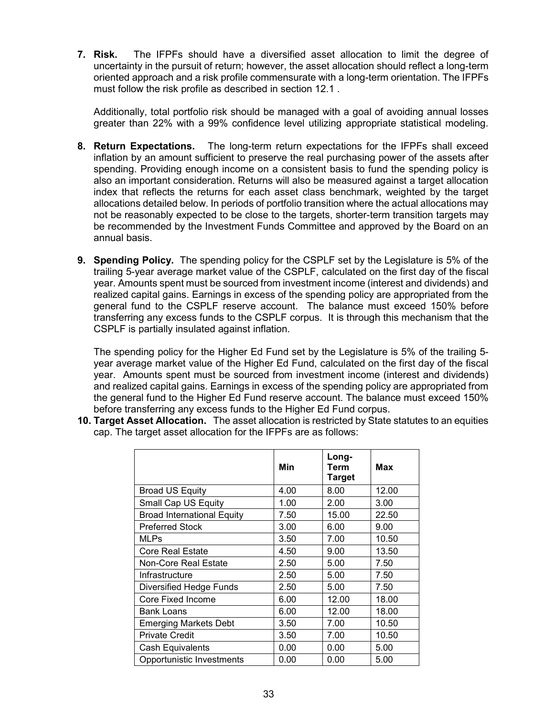**7. Risk.** The IFPFs should have a diversified asset allocation to limit the degree of uncertainty in the pursuit of return; however, the asset allocation should reflect a long-term oriented approach and a risk profile commensurate with a long-term orientation. The IFPFs must follow the risk profile as described in section 12.1 .

Additionally, total portfolio risk should be managed with a goal of avoiding annual losses greater than 22% with a 99% confidence level utilizing appropriate statistical modeling.

- **8. Return Expectations.** The long-term return expectations for the IFPFs shall exceed inflation by an amount sufficient to preserve the real purchasing power of the assets after spending. Providing enough income on a consistent basis to fund the spending policy is also an important consideration. Returns will also be measured against a target allocation index that reflects the returns for each asset class benchmark, weighted by the target allocations detailed below. In periods of portfolio transition where the actual allocations may not be reasonably expected to be close to the targets, shorter-term transition targets may be recommended by the Investment Funds Committee and approved by the Board on an annual basis.
- **9. Spending Policy.** The spending policy for the CSPLF set by the Legislature is 5% of the trailing 5-year average market value of the CSPLF, calculated on the first day of the fiscal year. Amounts spent must be sourced from investment income (interest and dividends) and realized capital gains. Earnings in excess of the spending policy are appropriated from the general fund to the CSPLF reserve account. The balance must exceed 150% before transferring any excess funds to the CSPLF corpus. It is through this mechanism that the CSPLF is partially insulated against inflation.

The spending policy for the Higher Ed Fund set by the Legislature is 5% of the trailing 5 year average market value of the Higher Ed Fund, calculated on the first day of the fiscal year. Amounts spent must be sourced from investment income (interest and dividends) and realized capital gains. Earnings in excess of the spending policy are appropriated from the general fund to the Higher Ed Fund reserve account. The balance must exceed 150% before transferring any excess funds to the Higher Ed Fund corpus.

|                                   | Min  | Long-<br>Term<br><b>Target</b> | Max   |
|-----------------------------------|------|--------------------------------|-------|
| <b>Broad US Equity</b>            | 4.00 | 8.00                           | 12.00 |
| Small Cap US Equity               | 1.00 | 2.00                           | 3.00  |
| <b>Broad International Equity</b> | 7.50 | 15.00                          | 22.50 |
| <b>Preferred Stock</b>            | 3.00 | 6.00                           | 9.00  |
| <b>MLPs</b>                       | 3.50 | 7.00                           | 10.50 |
| <b>Core Real Estate</b>           | 4.50 | 9.00                           | 13.50 |
| Non-Core Real Estate              | 2.50 | 5.00                           | 7.50  |
| Infrastructure                    | 2.50 | 5.00                           | 7.50  |
| Diversified Hedge Funds           | 2.50 | 5.00                           | 7.50  |
| <b>Core Fixed Income</b>          | 6.00 | 12.00                          | 18.00 |
| <b>Bank Loans</b>                 | 6.00 | 12.00                          | 18.00 |
| <b>Emerging Markets Debt</b>      | 3.50 | 7.00                           | 10.50 |

**10. Target Asset Allocation.** The asset allocation is restricted by State statutes to an equities cap. The target asset allocation for the IFPFs are as follows:

Private Credit 10.50 | 3.50 | 7.00 | 10.50 Cash Equivalents 0.00 0.00 5.00 Opportunistic Investments 0.00 0.00 5.00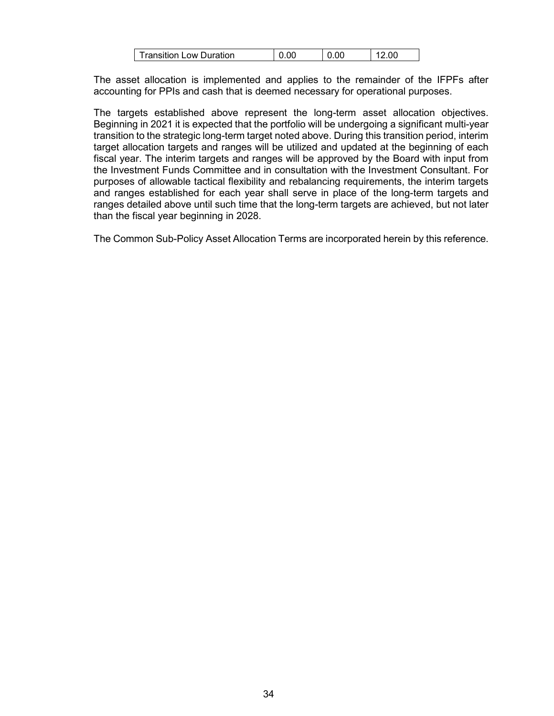| .ow Duration<br><b>Transition</b> | 70 |  |
|-----------------------------------|----|--|
|                                   |    |  |

The asset allocation is implemented and applies to the remainder of the IFPFs after accounting for PPIs and cash that is deemed necessary for operational purposes.

The targets established above represent the long-term asset allocation objectives. Beginning in 2021 it is expected that the portfolio will be undergoing a significant multi-year transition to the strategic long-term target noted above. During this transition period, interim target allocation targets and ranges will be utilized and updated at the beginning of each fiscal year. The interim targets and ranges will be approved by the Board with input from the Investment Funds Committee and in consultation with the Investment Consultant. For purposes of allowable tactical flexibility and rebalancing requirements, the interim targets and ranges established for each year shall serve in place of the long-term targets and ranges detailed above until such time that the long-term targets are achieved, but not later than the fiscal year beginning in 2028.

The Common Sub-Policy Asset Allocation Terms are incorporated herein by this reference.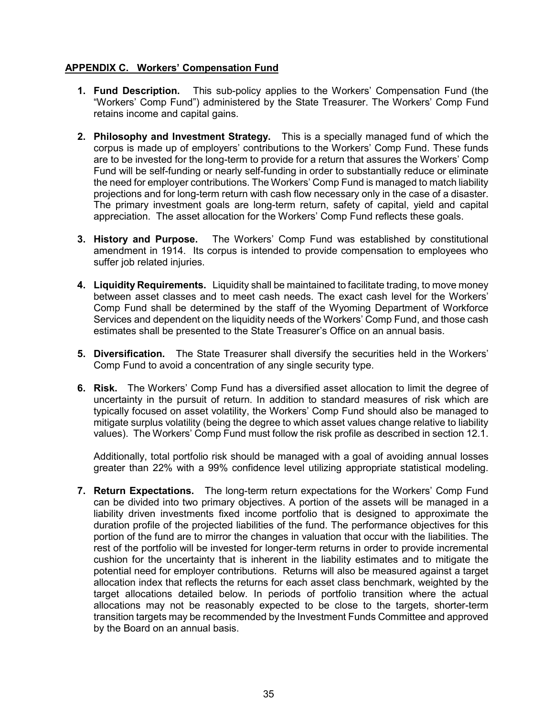#### <span id="page-34-0"></span>**APPENDIX C. Workers' Compensation Fund**

- **1. Fund Description.** This sub-policy applies to the Workers' Compensation Fund (the "Workers' Comp Fund") administered by the State Treasurer. The Workers' Comp Fund retains income and capital gains.
- **2. Philosophy and Investment Strategy.** This is a specially managed fund of which the corpus is made up of employers' contributions to the Workers' Comp Fund. These funds are to be invested for the long-term to provide for a return that assures the Workers' Comp Fund will be self-funding or nearly self-funding in order to substantially reduce or eliminate the need for employer contributions. The Workers' Comp Fund is managed to match liability projections and for long-term return with cash flow necessary only in the case of a disaster. The primary investment goals are long-term return, safety of capital, yield and capital appreciation. The asset allocation for the Workers' Comp Fund reflects these goals.
- **3. History and Purpose.** The Workers' Comp Fund was established by constitutional amendment in 1914. Its corpus is intended to provide compensation to employees who suffer job related injuries.
- **4. Liquidity Requirements.** Liquidity shall be maintained to facilitate trading, to move money between asset classes and to meet cash needs. The exact cash level for the Workers' Comp Fund shall be determined by the staff of the Wyoming Department of Workforce Services and dependent on the liquidity needs of the Workers' Comp Fund, and those cash estimates shall be presented to the State Treasurer's Office on an annual basis.
- **5. Diversification.** The State Treasurer shall diversify the securities held in the Workers' Comp Fund to avoid a concentration of any single security type.
- **6. Risk.** The Workers' Comp Fund has a diversified asset allocation to limit the degree of uncertainty in the pursuit of return. In addition to standard measures of risk which are typically focused on asset volatility, the Workers' Comp Fund should also be managed to mitigate surplus volatility (being the degree to which asset values change relative to liability values). The Workers' Comp Fund must follow the risk profile as described in section 12.1.

Additionally, total portfolio risk should be managed with a goal of avoiding annual losses greater than 22% with a 99% confidence level utilizing appropriate statistical modeling.

**7. Return Expectations.** The long-term return expectations for the Workers' Comp Fund can be divided into two primary objectives. A portion of the assets will be managed in a liability driven investments fixed income portfolio that is designed to approximate the duration profile of the projected liabilities of the fund. The performance objectives for this portion of the fund are to mirror the changes in valuation that occur with the liabilities. The rest of the portfolio will be invested for longer-term returns in order to provide incremental cushion for the uncertainty that is inherent in the liability estimates and to mitigate the potential need for employer contributions. Returns will also be measured against a target allocation index that reflects the returns for each asset class benchmark, weighted by the target allocations detailed below. In periods of portfolio transition where the actual allocations may not be reasonably expected to be close to the targets, shorter-term transition targets may be recommended by the Investment Funds Committee and approved by the Board on an annual basis.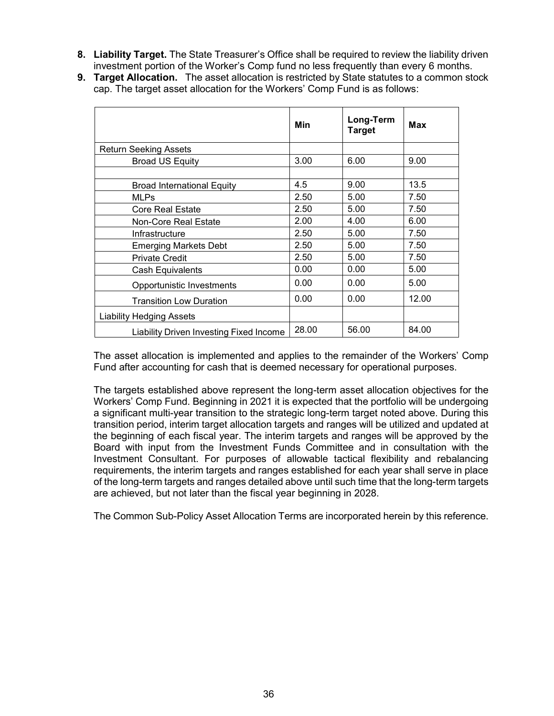- **8. Liability Target.** The State Treasurer's Office shall be required to review the liability driven investment portion of the Worker's Comp fund no less frequently than every 6 months.
- **9. Target Allocation.** The asset allocation is restricted by State statutes to a common stock cap. The target asset allocation for the Workers' Comp Fund is as follows:

|                                                | Min   | Long-Term<br><b>Target</b> | Max   |
|------------------------------------------------|-------|----------------------------|-------|
| <b>Return Seeking Assets</b>                   |       |                            |       |
| <b>Broad US Equity</b>                         | 3.00  | 6.00                       | 9.00  |
|                                                |       |                            |       |
| <b>Broad International Equity</b>              | 4.5   | 9.00                       | 13.5  |
| <b>MLPs</b>                                    | 2.50  | 5.00                       | 7.50  |
| <b>Core Real Estate</b>                        | 2.50  | 5.00                       | 7.50  |
| Non-Core Real Estate                           | 2.00  | 4.00                       | 6.00  |
| Infrastructure                                 | 2.50  | 5.00                       | 7.50  |
| <b>Emerging Markets Debt</b>                   | 2.50  | 5.00                       | 7.50  |
| <b>Private Credit</b>                          | 2.50  | 5.00                       | 7.50  |
| Cash Equivalents                               | 0.00  | 0.00                       | 5.00  |
| Opportunistic Investments                      | 0.00  | 0.00                       | 5.00  |
| <b>Transition Low Duration</b>                 | 0.00  | 0.00                       | 12.00 |
| <b>Liability Hedging Assets</b>                |       |                            |       |
| <b>Liability Driven Investing Fixed Income</b> | 28.00 | 56.00                      | 84.00 |

The asset allocation is implemented and applies to the remainder of the Workers' Comp Fund after accounting for cash that is deemed necessary for operational purposes.

The targets established above represent the long-term asset allocation objectives for the Workers' Comp Fund. Beginning in 2021 it is expected that the portfolio will be undergoing a significant multi-year transition to the strategic long-term target noted above. During this transition period, interim target allocation targets and ranges will be utilized and updated at the beginning of each fiscal year. The interim targets and ranges will be approved by the Board with input from the Investment Funds Committee and in consultation with the Investment Consultant. For purposes of allowable tactical flexibility and rebalancing requirements, the interim targets and ranges established for each year shall serve in place of the long-term targets and ranges detailed above until such time that the long-term targets are achieved, but not later than the fiscal year beginning in 2028.

The Common Sub-Policy Asset Allocation Terms are incorporated herein by this reference.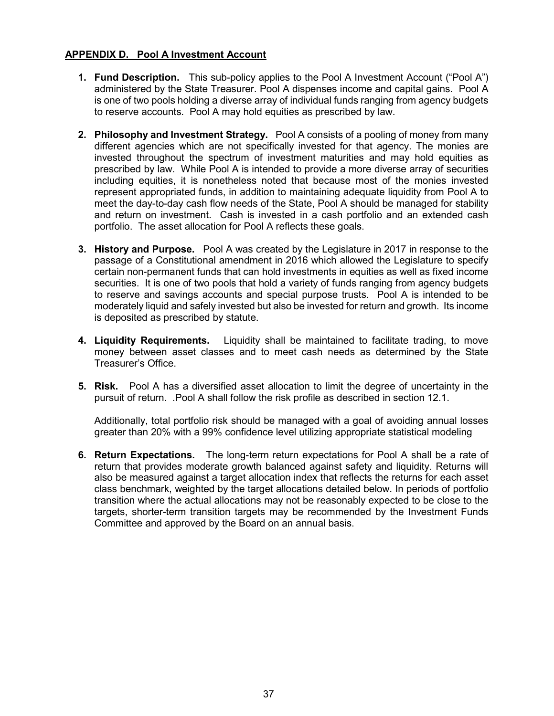#### <span id="page-36-0"></span>**APPENDIX D. Pool A Investment Account**

- **1. Fund Description.** This sub-policy applies to the Pool A Investment Account ("Pool A") administered by the State Treasurer. Pool A dispenses income and capital gains. Pool A is one of two pools holding a diverse array of individual funds ranging from agency budgets to reserve accounts. Pool A may hold equities as prescribed by law.
- **2. Philosophy and Investment Strategy.** Pool A consists of a pooling of money from many different agencies which are not specifically invested for that agency. The monies are invested throughout the spectrum of investment maturities and may hold equities as prescribed by law. While Pool A is intended to provide a more diverse array of securities including equities, it is nonetheless noted that because most of the monies invested represent appropriated funds, in addition to maintaining adequate liquidity from Pool A to meet the day-to-day cash flow needs of the State, Pool A should be managed for stability and return on investment. Cash is invested in a cash portfolio and an extended cash portfolio. The asset allocation for Pool A reflects these goals.
- **3. History and Purpose.** Pool A was created by the Legislature in 2017 in response to the passage of a Constitutional amendment in 2016 which allowed the Legislature to specify certain non-permanent funds that can hold investments in equities as well as fixed income securities. It is one of two pools that hold a variety of funds ranging from agency budgets to reserve and savings accounts and special purpose trusts. Pool A is intended to be moderately liquid and safely invested but also be invested for return and growth. Its income is deposited as prescribed by statute.
- **4. Liquidity Requirements.** Liquidity shall be maintained to facilitate trading, to move money between asset classes and to meet cash needs as determined by the State Treasurer's Office.
- **5. Risk.** Pool A has a diversified asset allocation to limit the degree of uncertainty in the pursuit of return. .Pool A shall follow the risk profile as described in section 12.1.

Additionally, total portfolio risk should be managed with a goal of avoiding annual losses greater than 20% with a 99% confidence level utilizing appropriate statistical modeling

**6. Return Expectations.** The long-term return expectations for Pool A shall be a rate of return that provides moderate growth balanced against safety and liquidity. Returns will also be measured against a target allocation index that reflects the returns for each asset class benchmark, weighted by the target allocations detailed below. In periods of portfolio transition where the actual allocations may not be reasonably expected to be close to the targets, shorter-term transition targets may be recommended by the Investment Funds Committee and approved by the Board on an annual basis.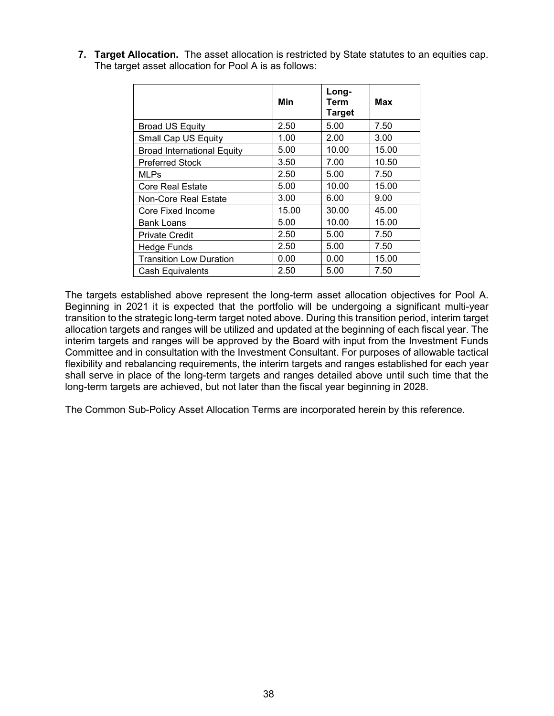|                                   | Min   | Long-<br>Term<br><b>Target</b> | Max   |
|-----------------------------------|-------|--------------------------------|-------|
| <b>Broad US Equity</b>            | 2.50  | 5.00                           | 7.50  |
| Small Cap US Equity               | 1.00  | 2.00                           | 3.00  |
| <b>Broad International Equity</b> | 5.00  | 10.00                          | 15.00 |
| <b>Preferred Stock</b>            | 3.50  | 7.00                           | 10.50 |
| <b>MLPs</b>                       | 2.50  | 5.00                           | 7.50  |
| <b>Core Real Estate</b>           | 5.00  | 10.00                          | 15.00 |
| Non-Core Real Estate              | 3.00  | 6.00                           | 9.00  |
| Core Fixed Income                 | 15.00 | 30.00                          | 45.00 |
| <b>Bank Loans</b>                 | 5.00  | 10.00                          | 15.00 |
| <b>Private Credit</b>             | 2.50  | 5.00                           | 7.50  |
| Hedge Funds                       | 2.50  | 5.00                           | 7.50  |
| <b>Transition Low Duration</b>    | 0.00  | 0.00                           | 15.00 |
| Cash Equivalents                  | 2.50  | 5.00                           | 7.50  |

**7. Target Allocation.** The asset allocation is restricted by State statutes to an equities cap. The target asset allocation for Pool A is as follows:

The targets established above represent the long-term asset allocation objectives for Pool A. Beginning in 2021 it is expected that the portfolio will be undergoing a significant multi-year transition to the strategic long-term target noted above. During this transition period, interim target allocation targets and ranges will be utilized and updated at the beginning of each fiscal year. The interim targets and ranges will be approved by the Board with input from the Investment Funds Committee and in consultation with the Investment Consultant. For purposes of allowable tactical flexibility and rebalancing requirements, the interim targets and ranges established for each year shall serve in place of the long-term targets and ranges detailed above until such time that the long-term targets are achieved, but not later than the fiscal year beginning in 2028.

The Common Sub-Policy Asset Allocation Terms are incorporated herein by this reference.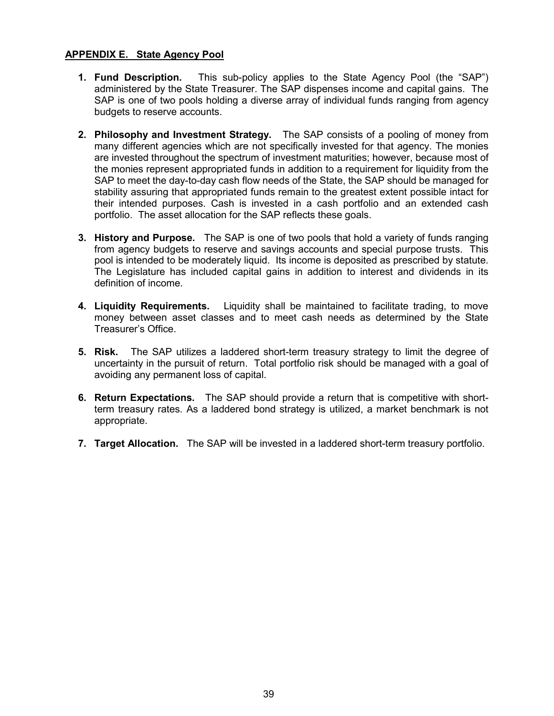#### <span id="page-38-0"></span>**APPENDIX E. State Agency Pool**

- **1. Fund Description.** This sub-policy applies to the State Agency Pool (the "SAP") administered by the State Treasurer. The SAP dispenses income and capital gains. The SAP is one of two pools holding a diverse array of individual funds ranging from agency budgets to reserve accounts.
- **2. Philosophy and Investment Strategy.** The SAP consists of a pooling of money from many different agencies which are not specifically invested for that agency. The monies are invested throughout the spectrum of investment maturities; however, because most of the monies represent appropriated funds in addition to a requirement for liquidity from the SAP to meet the day-to-day cash flow needs of the State, the SAP should be managed for stability assuring that appropriated funds remain to the greatest extent possible intact for their intended purposes. Cash is invested in a cash portfolio and an extended cash portfolio. The asset allocation for the SAP reflects these goals.
- **3. History and Purpose.** The SAP is one of two pools that hold a variety of funds ranging from agency budgets to reserve and savings accounts and special purpose trusts. This pool is intended to be moderately liquid. Its income is deposited as prescribed by statute. The Legislature has included capital gains in addition to interest and dividends in its definition of income.
- **4. Liquidity Requirements.** Liquidity shall be maintained to facilitate trading, to move money between asset classes and to meet cash needs as determined by the State Treasurer's Office.
- **5. Risk.** The SAP utilizes a laddered short-term treasury strategy to limit the degree of uncertainty in the pursuit of return. Total portfolio risk should be managed with a goal of avoiding any permanent loss of capital.
- **6. Return Expectations.** The SAP should provide a return that is competitive with shortterm treasury rates. As a laddered bond strategy is utilized, a market benchmark is not appropriate.
- **7. Target Allocation.** The SAP will be invested in a laddered short-term treasury portfolio.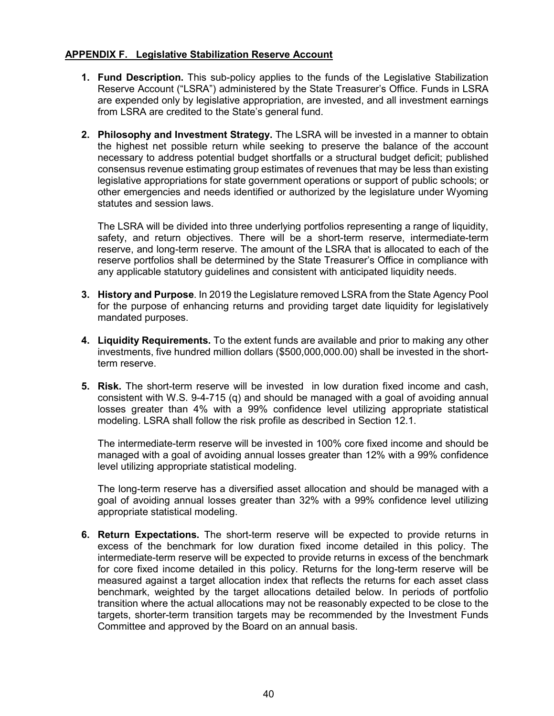#### <span id="page-39-0"></span>**APPENDIX F. Legislative Stabilization Reserve Account**

- **1. Fund Description.** This sub-policy applies to the funds of the Legislative Stabilization Reserve Account ("LSRA") administered by the State Treasurer's Office. Funds in LSRA are expended only by legislative appropriation, are invested, and all investment earnings from LSRA are credited to the State's general fund.
- **2. Philosophy and Investment Strategy.** The LSRA will be invested in a manner to obtain the highest net possible return while seeking to preserve the balance of the account necessary to address potential budget shortfalls or a structural budget deficit; published consensus revenue estimating group estimates of revenues that may be less than existing legislative appropriations for state government operations or support of public schools; or other emergencies and needs identified or authorized by the legislature under Wyoming statutes and session laws.

The LSRA will be divided into three underlying portfolios representing a range of liquidity, safety, and return objectives. There will be a short-term reserve, intermediate-term reserve, and long-term reserve. The amount of the LSRA that is allocated to each of the reserve portfolios shall be determined by the State Treasurer's Office in compliance with any applicable statutory guidelines and consistent with anticipated liquidity needs.

- **3. History and Purpose**. In 2019 the Legislature removed LSRA from the State Agency Pool for the purpose of enhancing returns and providing target date liquidity for legislatively mandated purposes.
- **4. Liquidity Requirements.** To the extent funds are available and prior to making any other investments, five hundred million dollars (\$500,000,000.00) shall be invested in the shortterm reserve.
- **5. Risk.** The short-term reserve will be invested in low duration fixed income and cash, consistent with W.S. 9-4-715 (q) and should be managed with a goal of avoiding annual losses greater than 4% with a 99% confidence level utilizing appropriate statistical modeling. LSRA shall follow the risk profile as described in Section 12.1.

The intermediate-term reserve will be invested in 100% core fixed income and should be managed with a goal of avoiding annual losses greater than 12% with a 99% confidence level utilizing appropriate statistical modeling.

The long-term reserve has a diversified asset allocation and should be managed with a goal of avoiding annual losses greater than 32% with a 99% confidence level utilizing appropriate statistical modeling.

**6. Return Expectations.** The short-term reserve will be expected to provide returns in excess of the benchmark for low duration fixed income detailed in this policy. The intermediate-term reserve will be expected to provide returns in excess of the benchmark for core fixed income detailed in this policy. Returns for the long-term reserve will be measured against a target allocation index that reflects the returns for each asset class benchmark, weighted by the target allocations detailed below. In periods of portfolio transition where the actual allocations may not be reasonably expected to be close to the targets, shorter-term transition targets may be recommended by the Investment Funds Committee and approved by the Board on an annual basis.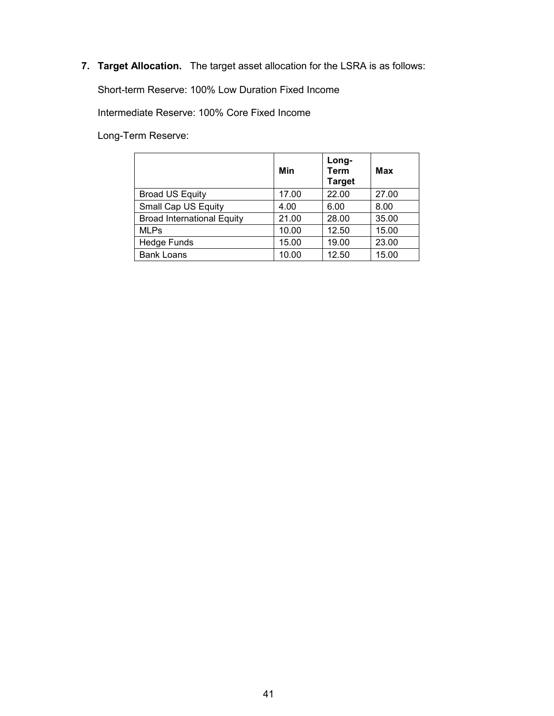**7. Target Allocation.** The target asset allocation for the LSRA is as follows:

Short-term Reserve: 100% Low Duration Fixed Income

Intermediate Reserve: 100% Core Fixed Income

Long-Term Reserve:

|                                   | Min   | Long-<br><b>Term</b><br><b>Target</b> | Max   |
|-----------------------------------|-------|---------------------------------------|-------|
| <b>Broad US Equity</b>            | 17.00 | 22.00                                 | 27.00 |
| Small Cap US Equity               | 4.00  | 6.00                                  | 8.00  |
| <b>Broad International Equity</b> | 21.00 | 28.00                                 | 35.00 |
| <b>MLPs</b>                       | 10.00 | 12.50                                 | 15.00 |
| <b>Hedge Funds</b>                | 15.00 | 19.00                                 | 23.00 |
| <b>Bank Loans</b>                 | 10.00 | 12.50                                 | 15.00 |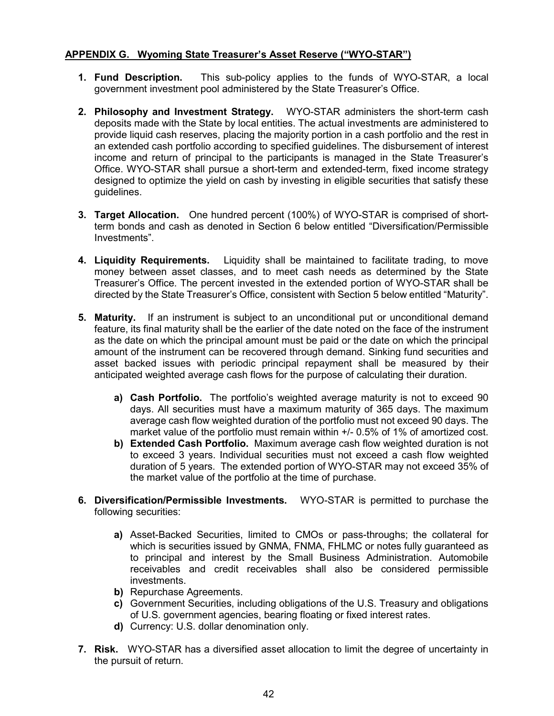#### <span id="page-41-0"></span>**APPENDIX G. Wyoming State Treasurer's Asset Reserve ("WYO-STAR")**

- **1. Fund Description.** This sub-policy applies to the funds of WYO-STAR, a local government investment pool administered by the State Treasurer's Office.
- **2. Philosophy and Investment Strategy.** WYO-STAR administers the short-term cash deposits made with the State by local entities. The actual investments are administered to provide liquid cash reserves, placing the majority portion in a cash portfolio and the rest in an extended cash portfolio according to specified guidelines. The disbursement of interest income and return of principal to the participants is managed in the State Treasurer's Office. WYO-STAR shall pursue a short-term and extended-term, fixed income strategy designed to optimize the yield on cash by investing in eligible securities that satisfy these guidelines.
- **3. Target Allocation.** One hundred percent (100%) of WYO-STAR is comprised of shortterm bonds and cash as denoted in Section 6 below entitled "Diversification/Permissible Investments".
- **4. Liquidity Requirements.** Liquidity shall be maintained to facilitate trading, to move money between asset classes, and to meet cash needs as determined by the State Treasurer's Office. The percent invested in the extended portion of WYO-STAR shall be directed by the State Treasurer's Office, consistent with Section 5 below entitled "Maturity".
- **5. Maturity.** If an instrument is subject to an unconditional put or unconditional demand feature, its final maturity shall be the earlier of the date noted on the face of the instrument as the date on which the principal amount must be paid or the date on which the principal amount of the instrument can be recovered through demand. Sinking fund securities and asset backed issues with periodic principal repayment shall be measured by their anticipated weighted average cash flows for the purpose of calculating their duration.
	- **a) Cash Portfolio.** The portfolio's weighted average maturity is not to exceed 90 days. All securities must have a maximum maturity of 365 days. The maximum average cash flow weighted duration of the portfolio must not exceed 90 days. The market value of the portfolio must remain within +/- 0.5% of 1% of amortized cost.
	- **b) Extended Cash Portfolio.** Maximum average cash flow weighted duration is not to exceed 3 years. Individual securities must not exceed a cash flow weighted duration of 5 years. The extended portion of WYO-STAR may not exceed 35% of the market value of the portfolio at the time of purchase.
- **6. Diversification/Permissible Investments.** WYO-STAR is permitted to purchase the following securities:
	- **a)** Asset-Backed Securities, limited to CMOs or pass-throughs; the collateral for which is securities issued by GNMA, FNMA, FHLMC or notes fully guaranteed as to principal and interest by the Small Business Administration. Automobile receivables and credit receivables shall also be considered permissible investments.
	- **b)** Repurchase Agreements.
	- **c)** Government Securities, including obligations of the U.S. Treasury and obligations of U.S. government agencies, bearing floating or fixed interest rates.
	- **d)** Currency: U.S. dollar denomination only.
- **7. Risk.** WYO-STAR has a diversified asset allocation to limit the degree of uncertainty in the pursuit of return.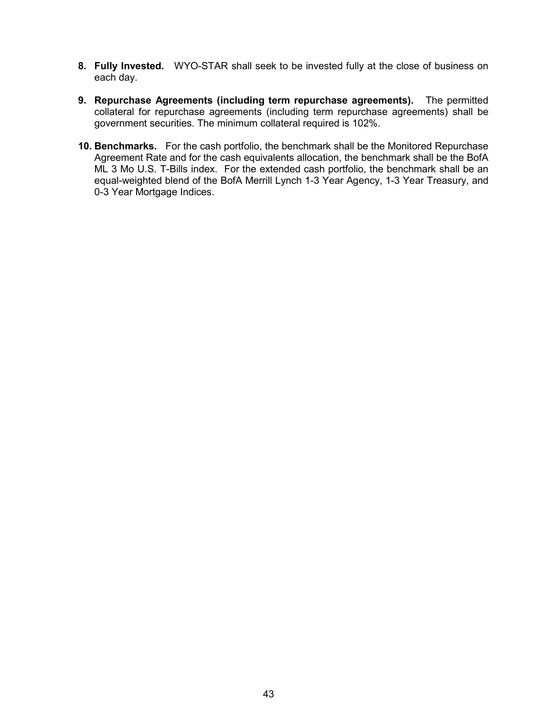- **8. Fully Invested.** WYO-STAR shall seek to be invested fully at the close of business on each day.
- **9. Repurchase Agreements (including term repurchase agreements).** The permitted collateral for repurchase agreements (including term repurchase agreements) shall be government securities. The minimum collateral required is 102%.
- **10. Benchmarks.** For the cash portfolio, the benchmark shall be the Monitored Repurchase Agreement Rate and for the cash equivalents allocation, the benchmark shall be the BofA ML 3 Mo U.S. T-Bills index. For the extended cash portfolio, the benchmark shall be an equal-weighted blend of the BofA Merrill Lynch 1-3 Year Agency, 1-3 Year Treasury, and 0-3 Year Mortgage Indices.